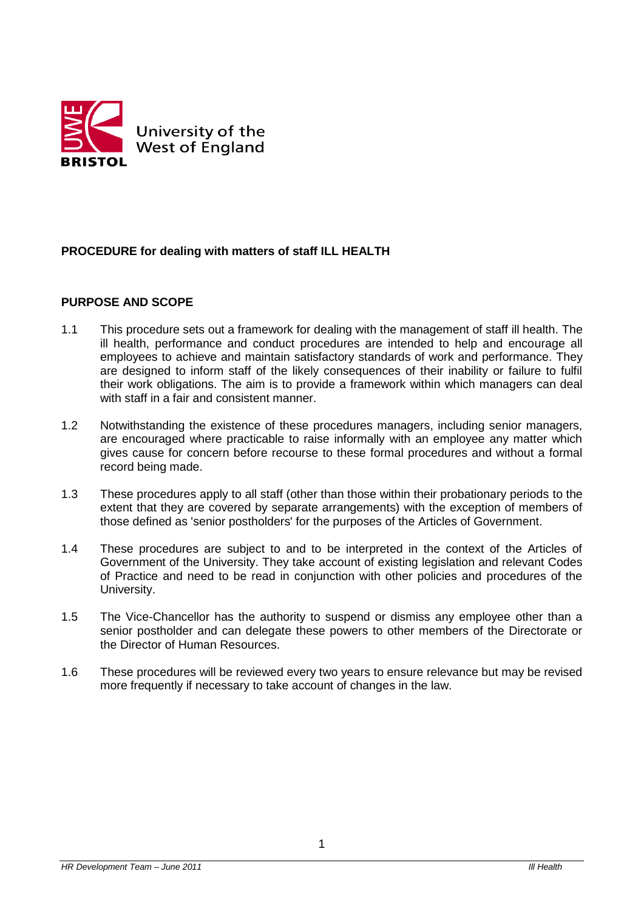

# **PROCEDURE for dealing with matters of staff ILL HEALTH**

#### **PURPOSE AND SCOPE**

- 1.1 This procedure sets out a framework for dealing with the management of staff ill health. The ill health, performance and conduct procedures are intended to help and encourage all employees to achieve and maintain satisfactory standards of work and performance. They are designed to inform staff of the likely consequences of their inability or failure to fulfil their work obligations. The aim is to provide a framework within which managers can deal with staff in a fair and consistent manner.
- 1.2 Notwithstanding the existence of these procedures managers, including senior managers, are encouraged where practicable to raise informally with an employee any matter which gives cause for concern before recourse to these formal procedures and without a formal record being made.
- 1.3 These procedures apply to all staff (other than those within their probationary periods to the extent that they are covered by separate arrangements) with the exception of members of those defined as 'senior postholders' for the purposes of the Articles of Government.
- 1.4 These procedures are subject to and to be interpreted in the context of the Articles of Government of the University. They take account of existing legislation and relevant Codes of Practice and need to be read in conjunction with other policies and procedures of the University.
- 1.5 The Vice-Chancellor has the authority to suspend or dismiss any employee other than a senior postholder and can delegate these powers to other members of the Directorate or the Director of Human Resources.
- 1.6 These procedures will be reviewed every two years to ensure relevance but may be revised more frequently if necessary to take account of changes in the law.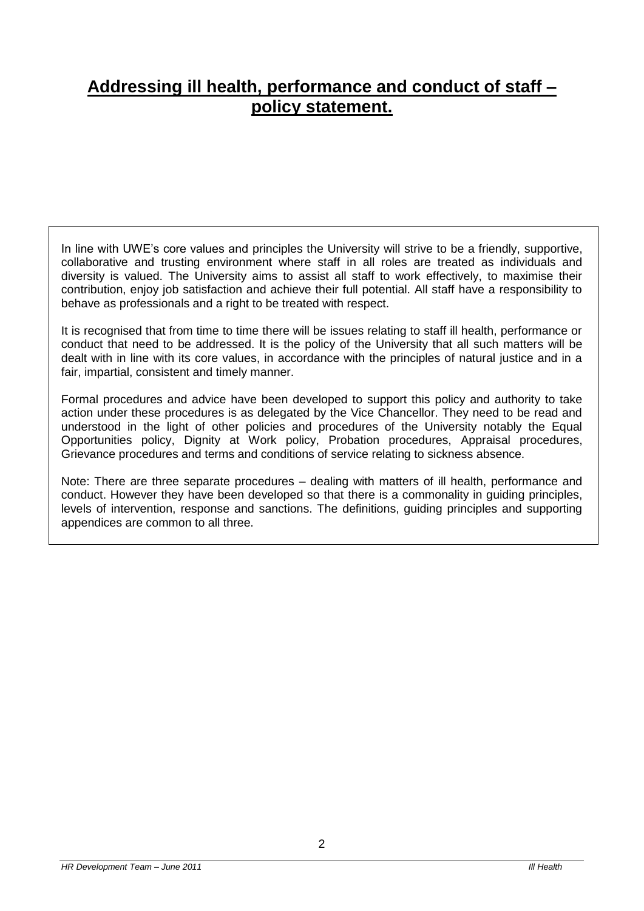# **Addressing ill health, performance and conduct of staff – policy statement.**

In line with UWE's core values and principles the University will strive to be a friendly, supportive, collaborative and trusting environment where staff in all roles are treated as individuals and diversity is valued. The University aims to assist all staff to work effectively, to maximise their contribution, enjoy job satisfaction and achieve their full potential. All staff have a responsibility to behave as professionals and a right to be treated with respect.

It is recognised that from time to time there will be issues relating to staff ill health, performance or conduct that need to be addressed. It is the policy of the University that all such matters will be dealt with in line with its core values, in accordance with the principles of natural justice and in a fair, impartial, consistent and timely manner.

Formal procedures and advice have been developed to support this policy and authority to take action under these procedures is as delegated by the Vice Chancellor. They need to be read and understood in the light of other policies and procedures of the University notably the Equal Opportunities policy, Dignity at Work policy, Probation procedures, Appraisal procedures, Grievance procedures and terms and conditions of service relating to sickness absence.

Note: There are three separate procedures – dealing with matters of ill health, performance and conduct. However they have been developed so that there is a commonality in guiding principles, levels of intervention, response and sanctions. The definitions, guiding principles and supporting appendices are common to all three.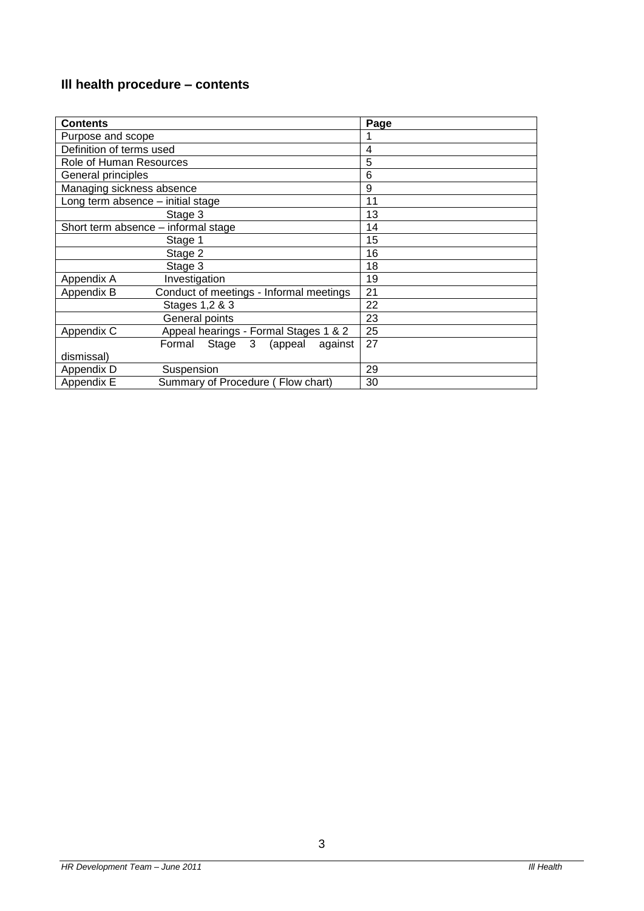# **Ill health procedure – contents**

| <b>Contents</b>                     |                                          | Page |
|-------------------------------------|------------------------------------------|------|
| Purpose and scope                   |                                          |      |
| Definition of terms used            |                                          | 4    |
| Role of Human Resources             |                                          | 5    |
| General principles                  |                                          | 6    |
| Managing sickness absence           |                                          | 9    |
| Long term absence - initial stage   |                                          | 11   |
| Stage 3                             |                                          | 13   |
| Short term absence – informal stage |                                          | 14   |
| Stage 1                             |                                          | 15   |
|                                     | Stage 2                                  | 16   |
|                                     | Stage 3                                  | 18   |
| Appendix A                          | Investigation                            | 19   |
| Appendix B                          | Conduct of meetings - Informal meetings  | 21   |
|                                     | Stages 1,2 & 3                           | 22   |
|                                     | General points                           | 23   |
| Appendix C                          | Appeal hearings - Formal Stages 1 & 2    | 25   |
|                                     | Formal Stage<br>3<br>(appeal)<br>against | 27   |
| dismissal)                          |                                          |      |
| Appendix D                          | Suspension                               | 29   |
| Appendix E                          | Summary of Procedure (Flow chart)        | 30   |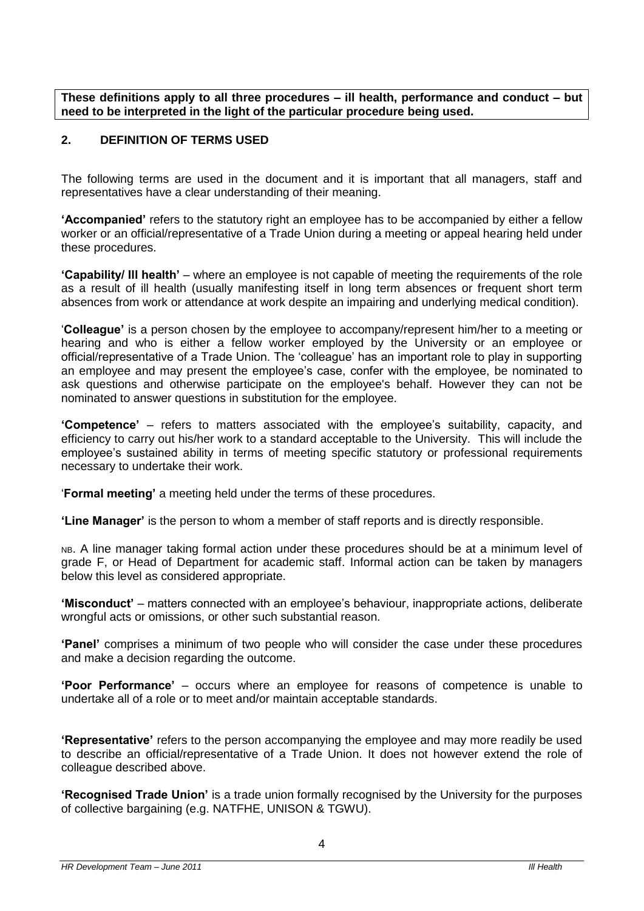**These definitions apply to all three procedures – ill health, performance and conduct – but need to be interpreted in the light of the particular procedure being used.**

# **2. DEFINITION OF TERMS USED**

The following terms are used in the document and it is important that all managers, staff and representatives have a clear understanding of their meaning.

**'Accompanied'** refers to the statutory right an employee has to be accompanied by either a fellow worker or an official/representative of a Trade Union during a meeting or appeal hearing held under these procedures.

**'Capability/ Ill health'** – where an employee is not capable of meeting the requirements of the role as a result of ill health (usually manifesting itself in long term absences or frequent short term absences from work or attendance at work despite an impairing and underlying medical condition).

'**Colleague'** is a person chosen by the employee to accompany/represent him/her to a meeting or hearing and who is either a fellow worker employed by the University or an employee or official/representative of a Trade Union. The 'colleague' has an important role to play in supporting an employee and may present the employee's case, confer with the employee, be nominated to ask questions and otherwise participate on the employee's behalf. However they can not be nominated to answer questions in substitution for the employee.

**'Competence'** – refers to matters associated with the employee's suitability, capacity, and efficiency to carry out his/her work to a standard acceptable to the University. This will include the employee's sustained ability in terms of meeting specific statutory or professional requirements necessary to undertake their work.

'**Formal meeting'** a meeting held under the terms of these procedures.

**'Line Manager'** is the person to whom a member of staff reports and is directly responsible.

NB. A line manager taking formal action under these procedures should be at a minimum level of grade F, or Head of Department for academic staff. Informal action can be taken by managers below this level as considered appropriate.

**'Misconduct'** – matters connected with an employee's behaviour, inappropriate actions, deliberate wrongful acts or omissions, or other such substantial reason.

**'Panel'** comprises a minimum of two people who will consider the case under these procedures and make a decision regarding the outcome.

**'Poor Performance'** – occurs where an employee for reasons of competence is unable to undertake all of a role or to meet and/or maintain acceptable standards.

**'Representative'** refers to the person accompanying the employee and may more readily be used to describe an official/representative of a Trade Union. It does not however extend the role of colleague described above.

**'Recognised Trade Union'** is a trade union formally recognised by the University for the purposes of collective bargaining (e.g. NATFHE, UNISON & TGWU).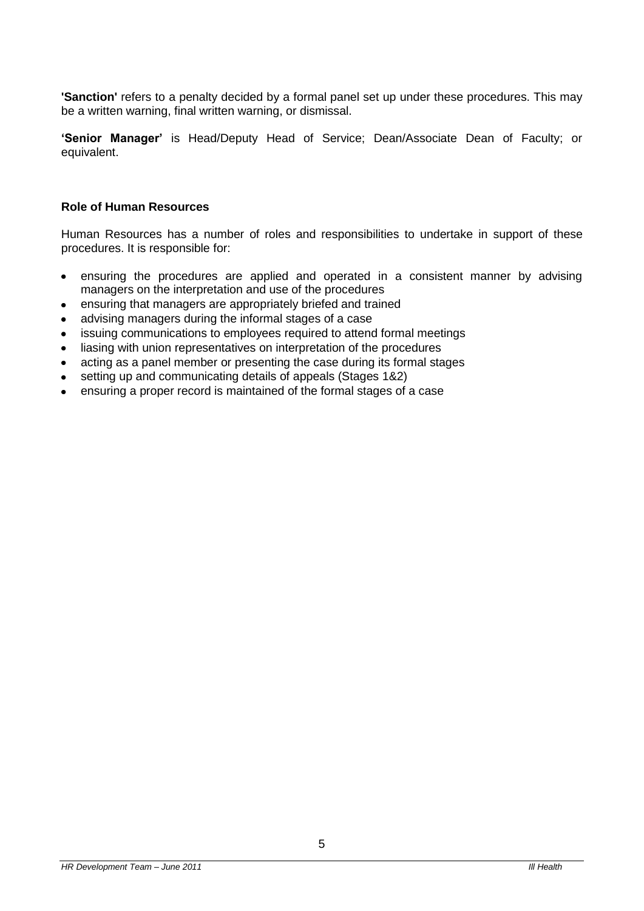**'Sanction'** refers to a penalty decided by a formal panel set up under these procedures. This may be a written warning, final written warning, or dismissal.

**'Senior Manager'** is Head/Deputy Head of Service; Dean/Associate Dean of Faculty; or equivalent.

#### **Role of Human Resources**

Human Resources has a number of roles and responsibilities to undertake in support of these procedures. It is responsible for:

- ensuring the procedures are applied and operated in a consistent manner by advising  $\bullet$ managers on the interpretation and use of the procedures
- ensuring that managers are appropriately briefed and trained  $\bullet$
- advising managers during the informal stages of a case
- issuing communications to employees required to attend formal meetings
- liasing with union representatives on interpretation of the procedures  $\bullet$
- acting as a panel member or presenting the case during its formal stages
- setting up and communicating details of appeals (Stages 1&2)  $\bullet$
- ensuring a proper record is maintained of the formal stages of a case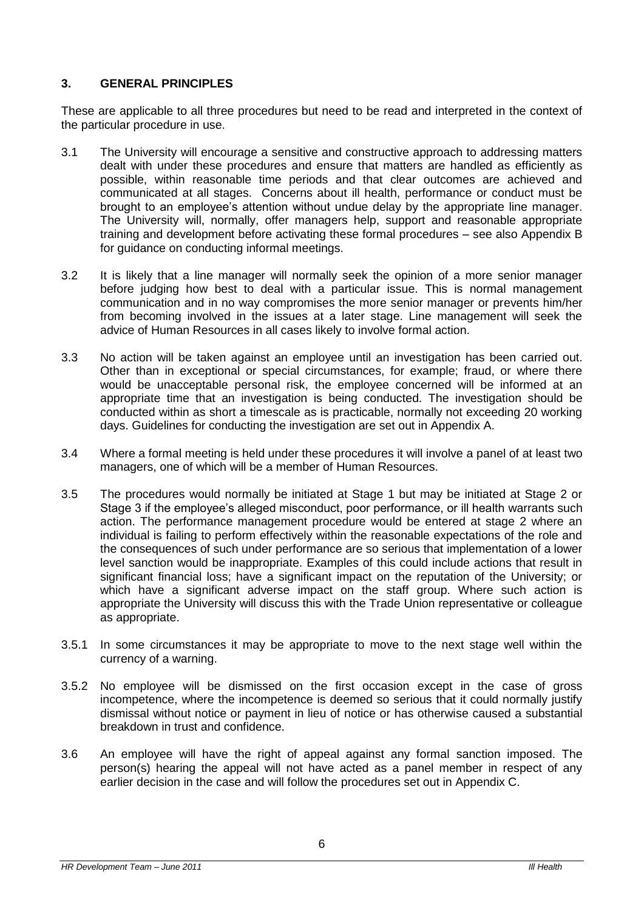# **3. GENERAL PRINCIPLES**

These are applicable to all three procedures but need to be read and interpreted in the context of the particular procedure in use.

- 3.1 The University will encourage a sensitive and constructive approach to addressing matters dealt with under these procedures and ensure that matters are handled as efficiently as possible, within reasonable time periods and that clear outcomes are achieved and communicated at all stages. Concerns about ill health, performance or conduct must be brought to an employee's attention without undue delay by the appropriate line manager. The University will, normally, offer managers help, support and reasonable appropriate training and development before activating these formal procedures – see also Appendix B for guidance on conducting informal meetings.
- 3.2 It is likely that a line manager will normally seek the opinion of a more senior manager before judging how best to deal with a particular issue. This is normal management communication and in no way compromises the more senior manager or prevents him/her from becoming involved in the issues at a later stage. Line management will seek the advice of Human Resources in all cases likely to involve formal action.
- 3.3 No action will be taken against an employee until an investigation has been carried out. Other than in exceptional or special circumstances, for example; fraud, or where there would be unacceptable personal risk, the employee concerned will be informed at an appropriate time that an investigation is being conducted. The investigation should be conducted within as short a timescale as is practicable, normally not exceeding 20 working days. Guidelines for conducting the investigation are set out in Appendix A.
- 3.4 Where a formal meeting is held under these procedures it will involve a panel of at least two managers, one of which will be a member of Human Resources.
- 3.5 The procedures would normally be initiated at Stage 1 but may be initiated at Stage 2 or Stage 3 if the employee's alleged misconduct, poor performance, or ill health warrants such action. The performance management procedure would be entered at stage 2 where an individual is failing to perform effectively within the reasonable expectations of the role and the consequences of such under performance are so serious that implementation of a lower level sanction would be inappropriate. Examples of this could include actions that result in significant financial loss; have a significant impact on the reputation of the University; or which have a significant adverse impact on the staff group. Where such action is appropriate the University will discuss this with the Trade Union representative or colleague as appropriate.
- 3.5.1 In some circumstances it may be appropriate to move to the next stage well within the currency of a warning.
- 3.5.2 No employee will be dismissed on the first occasion except in the case of gross incompetence, where the incompetence is deemed so serious that it could normally justify dismissal without notice or payment in lieu of notice or has otherwise caused a substantial breakdown in trust and confidence.
- 3.6 An employee will have the right of appeal against any formal sanction imposed. The person(s) hearing the appeal will not have acted as a panel member in respect of any earlier decision in the case and will follow the procedures set out in Appendix C.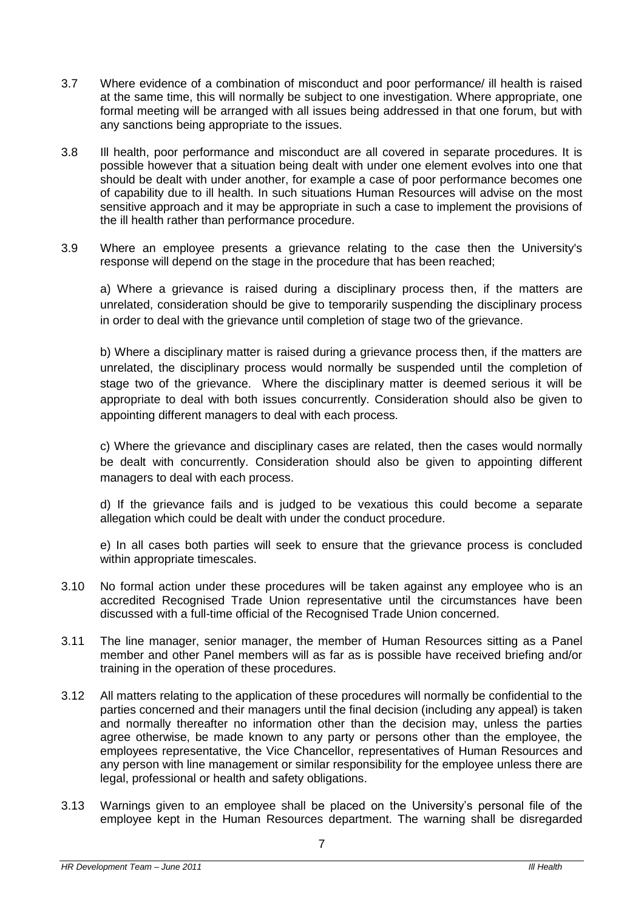- 3.7 Where evidence of a combination of misconduct and poor performance/ ill health is raised at the same time, this will normally be subject to one investigation. Where appropriate, one formal meeting will be arranged with all issues being addressed in that one forum, but with any sanctions being appropriate to the issues.
- 3.8 Ill health, poor performance and misconduct are all covered in separate procedures. It is possible however that a situation being dealt with under one element evolves into one that should be dealt with under another, for example a case of poor performance becomes one of capability due to ill health. In such situations Human Resources will advise on the most sensitive approach and it may be appropriate in such a case to implement the provisions of the ill health rather than performance procedure.
- 3.9 Where an employee presents a grievance relating to the case then the University's response will depend on the stage in the procedure that has been reached;

a) Where a grievance is raised during a disciplinary process then, if the matters are unrelated, consideration should be give to temporarily suspending the disciplinary process in order to deal with the grievance until completion of stage two of the grievance.

b) Where a disciplinary matter is raised during a grievance process then, if the matters are unrelated, the disciplinary process would normally be suspended until the completion of stage two of the grievance. Where the disciplinary matter is deemed serious it will be appropriate to deal with both issues concurrently. Consideration should also be given to appointing different managers to deal with each process.

c) Where the grievance and disciplinary cases are related, then the cases would normally be dealt with concurrently. Consideration should also be given to appointing different managers to deal with each process.

d) If the grievance fails and is judged to be vexatious this could become a separate allegation which could be dealt with under the conduct procedure.

e) In all cases both parties will seek to ensure that the grievance process is concluded within appropriate timescales.

- 3.10 No formal action under these procedures will be taken against any employee who is an accredited Recognised Trade Union representative until the circumstances have been discussed with a full-time official of the Recognised Trade Union concerned.
- 3.11 The line manager, senior manager, the member of Human Resources sitting as a Panel member and other Panel members will as far as is possible have received briefing and/or training in the operation of these procedures.
- 3.12 All matters relating to the application of these procedures will normally be confidential to the parties concerned and their managers until the final decision (including any appeal) is taken and normally thereafter no information other than the decision may, unless the parties agree otherwise, be made known to any party or persons other than the employee, the employees representative, the Vice Chancellor, representatives of Human Resources and any person with line management or similar responsibility for the employee unless there are legal, professional or health and safety obligations.
- 3.13 Warnings given to an employee shall be placed on the University's personal file of the employee kept in the Human Resources department. The warning shall be disregarded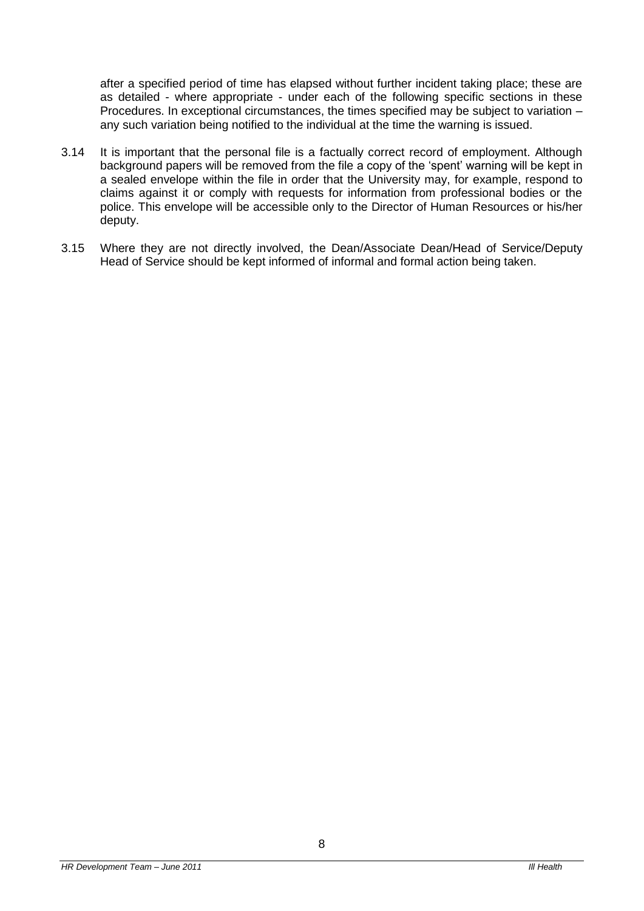after a specified period of time has elapsed without further incident taking place; these are as detailed - where appropriate - under each of the following specific sections in these Procedures. In exceptional circumstances, the times specified may be subject to variation – any such variation being notified to the individual at the time the warning is issued.

- 3.14 It is important that the personal file is a factually correct record of employment. Although background papers will be removed from the file a copy of the 'spent' warning will be kept in a sealed envelope within the file in order that the University may, for example, respond to claims against it or comply with requests for information from professional bodies or the police. This envelope will be accessible only to the Director of Human Resources or his/her deputy.
- 3.15 Where they are not directly involved, the Dean/Associate Dean/Head of Service/Deputy Head of Service should be kept informed of informal and formal action being taken.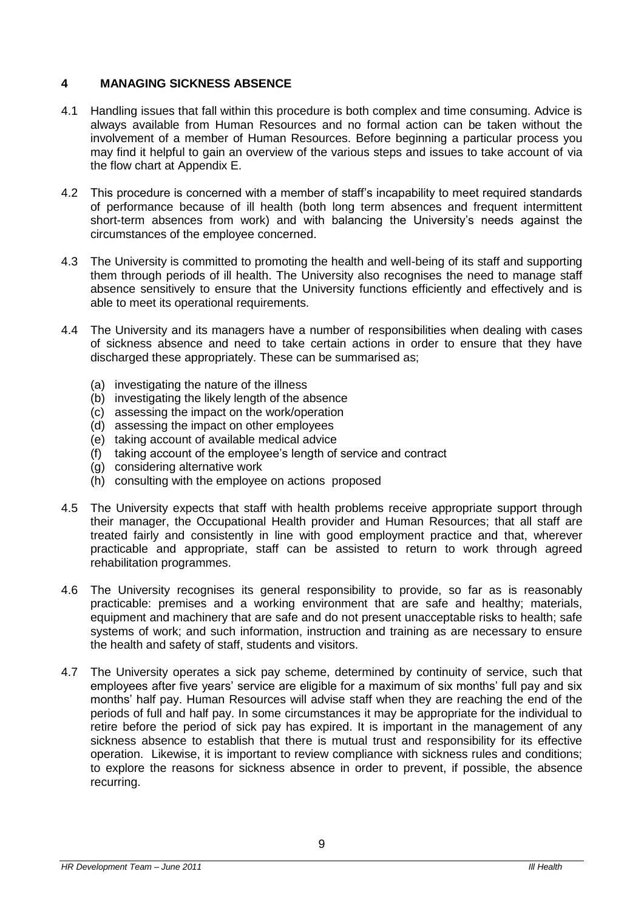# **4 MANAGING SICKNESS ABSENCE**

- 4.1 Handling issues that fall within this procedure is both complex and time consuming. Advice is always available from Human Resources and no formal action can be taken without the involvement of a member of Human Resources. Before beginning a particular process you may find it helpful to gain an overview of the various steps and issues to take account of via the flow chart at Appendix E.
- 4.2 This procedure is concerned with a member of staff's incapability to meet required standards of performance because of ill health (both long term absences and frequent intermittent short-term absences from work) and with balancing the University's needs against the circumstances of the employee concerned.
- 4.3 The University is committed to promoting the health and well-being of its staff and supporting them through periods of ill health. The University also recognises the need to manage staff absence sensitively to ensure that the University functions efficiently and effectively and is able to meet its operational requirements.
- 4.4 The University and its managers have a number of responsibilities when dealing with cases of sickness absence and need to take certain actions in order to ensure that they have discharged these appropriately. These can be summarised as;
	- (a) investigating the nature of the illness
	- (b) investigating the likely length of the absence
	- (c) assessing the impact on the work/operation
	- (d) assessing the impact on other employees
	- (e) taking account of available medical advice
	- (f) taking account of the employee's length of service and contract
	- (g) considering alternative work
	- (h) consulting with the employee on actions proposed
- 4.5 The University expects that staff with health problems receive appropriate support through their manager, the Occupational Health provider and Human Resources; that all staff are treated fairly and consistently in line with good employment practice and that, wherever practicable and appropriate, staff can be assisted to return to work through agreed rehabilitation programmes.
- 4.6 The University recognises its general responsibility to provide, so far as is reasonably practicable: premises and a working environment that are safe and healthy; materials, equipment and machinery that are safe and do not present unacceptable risks to health; safe systems of work; and such information, instruction and training as are necessary to ensure the health and safety of staff, students and visitors.
- 4.7 The University operates a sick pay scheme, determined by continuity of service, such that employees after five years' service are eligible for a maximum of six months' full pay and six months' half pay. Human Resources will advise staff when they are reaching the end of the periods of full and half pay. In some circumstances it may be appropriate for the individual to retire before the period of sick pay has expired. It is important in the management of any sickness absence to establish that there is mutual trust and responsibility for its effective operation. Likewise, it is important to review compliance with sickness rules and conditions; to explore the reasons for sickness absence in order to prevent, if possible, the absence recurring.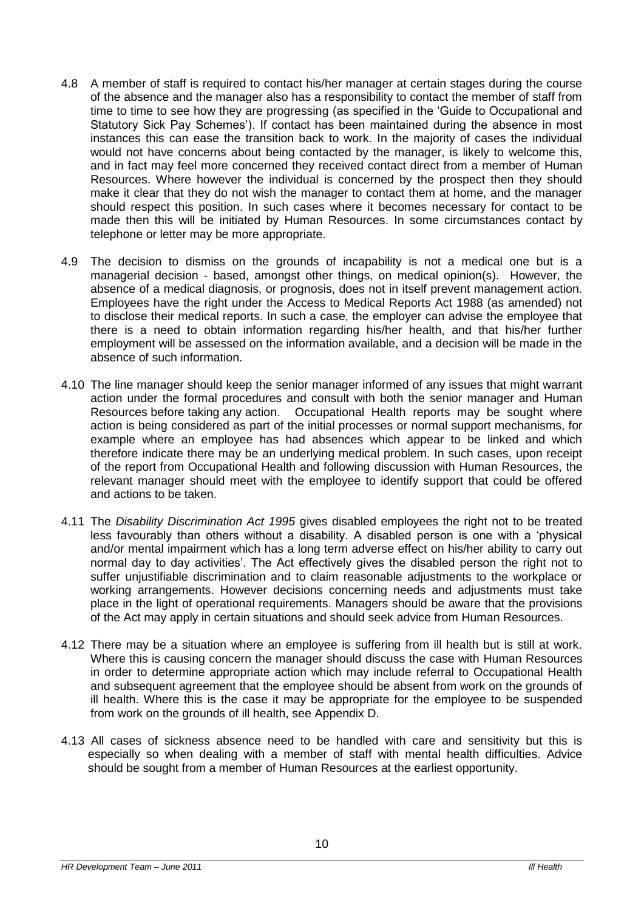- 4.8 A member of staff is required to contact his/her manager at certain stages during the course of the absence and the manager also has a responsibility to contact the member of staff from time to time to see how they are progressing (as specified in the 'Guide to Occupational and Statutory Sick Pay Schemes'). If contact has been maintained during the absence in most instances this can ease the transition back to work. In the majority of cases the individual would not have concerns about being contacted by the manager, is likely to welcome this, and in fact may feel more concerned they received contact direct from a member of Human Resources. Where however the individual is concerned by the prospect then they should make it clear that they do not wish the manager to contact them at home, and the manager should respect this position. In such cases where it becomes necessary for contact to be made then this will be initiated by Human Resources. In some circumstances contact by telephone or letter may be more appropriate.
- 4.9 The decision to dismiss on the grounds of incapability is not a medical one but is a managerial decision - based, amongst other things, on medical opinion(s). However, the absence of a medical diagnosis, or prognosis, does not in itself prevent management action. Employees have the right under the Access to Medical Reports Act 1988 (as amended) not to disclose their medical reports. In such a case, the employer can advise the employee that there is a need to obtain information regarding his/her health, and that his/her further employment will be assessed on the information available, and a decision will be made in the absence of such information.
- 4.10 The line manager should keep the senior manager informed of any issues that might warrant action under the formal procedures and consult with both the senior manager and Human Resources before taking any action. Occupational Health reports may be sought where action is being considered as part of the initial processes or normal support mechanisms, for example where an employee has had absences which appear to be linked and which therefore indicate there may be an underlying medical problem. In such cases, upon receipt of the report from Occupational Health and following discussion with Human Resources, the relevant manager should meet with the employee to identify support that could be offered and actions to be taken.
- 4.11 The *Disability Discrimination Act 1995* gives disabled employees the right not to be treated less favourably than others without a disability. A disabled person is one with a 'physical and/or mental impairment which has a long term adverse effect on his/her ability to carry out normal day to day activities'. The Act effectively gives the disabled person the right not to suffer unjustifiable discrimination and to claim reasonable adjustments to the workplace or working arrangements. However decisions concerning needs and adjustments must take place in the light of operational requirements. Managers should be aware that the provisions of the Act may apply in certain situations and should seek advice from Human Resources.
- 4.12 There may be a situation where an employee is suffering from ill health but is still at work. Where this is causing concern the manager should discuss the case with Human Resources in order to determine appropriate action which may include referral to Occupational Health and subsequent agreement that the employee should be absent from work on the grounds of ill health. Where this is the case it may be appropriate for the employee to be suspended from work on the grounds of ill health, see Appendix D.
- 4.13 All cases of sickness absence need to be handled with care and sensitivity but this is especially so when dealing with a member of staff with mental health difficulties. Advice should be sought from a member of Human Resources at the earliest opportunity.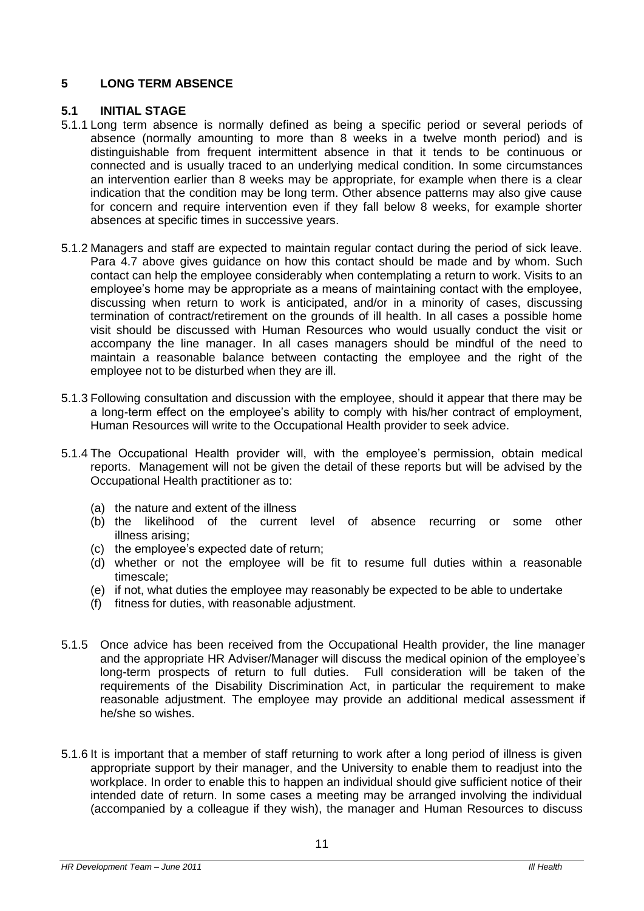# **5 LONG TERM ABSENCE**

#### **5.1 INITIAL STAGE**

- 5.1.1 Long term absence is normally defined as being a specific period or several periods of absence (normally amounting to more than 8 weeks in a twelve month period) and is distinguishable from frequent intermittent absence in that it tends to be continuous or connected and is usually traced to an underlying medical condition. In some circumstances an intervention earlier than 8 weeks may be appropriate, for example when there is a clear indication that the condition may be long term. Other absence patterns may also give cause for concern and require intervention even if they fall below 8 weeks, for example shorter absences at specific times in successive years.
- 5.1.2 Managers and staff are expected to maintain regular contact during the period of sick leave. Para 4.7 above gives guidance on how this contact should be made and by whom. Such contact can help the employee considerably when contemplating a return to work. Visits to an employee's home may be appropriate as a means of maintaining contact with the employee, discussing when return to work is anticipated, and/or in a minority of cases, discussing termination of contract/retirement on the grounds of ill health. In all cases a possible home visit should be discussed with Human Resources who would usually conduct the visit or accompany the line manager. In all cases managers should be mindful of the need to maintain a reasonable balance between contacting the employee and the right of the employee not to be disturbed when they are ill.
- 5.1.3 Following consultation and discussion with the employee, should it appear that there may be a long-term effect on the employee's ability to comply with his/her contract of employment, Human Resources will write to the Occupational Health provider to seek advice.
- 5.1.4 The Occupational Health provider will, with the employee's permission, obtain medical reports. Management will not be given the detail of these reports but will be advised by the Occupational Health practitioner as to:
	- (a) the nature and extent of the illness
	- (b) the likelihood of the current level of absence recurring or some other illness arising;
	- (c) the employee's expected date of return;
	- (d) whether or not the employee will be fit to resume full duties within a reasonable timescale;
	- (e) if not, what duties the employee may reasonably be expected to be able to undertake
	- (f) fitness for duties, with reasonable adjustment.
- 5.1.5 Once advice has been received from the Occupational Health provider, the line manager and the appropriate HR Adviser/Manager will discuss the medical opinion of the employee's long-term prospects of return to full duties. Full consideration will be taken of the requirements of the Disability Discrimination Act, in particular the requirement to make reasonable adjustment. The employee may provide an additional medical assessment if he/she so wishes.
- 5.1.6 It is important that a member of staff returning to work after a long period of illness is given appropriate support by their manager, and the University to enable them to readjust into the workplace. In order to enable this to happen an individual should give sufficient notice of their intended date of return. In some cases a meeting may be arranged involving the individual (accompanied by a colleague if they wish), the manager and Human Resources to discuss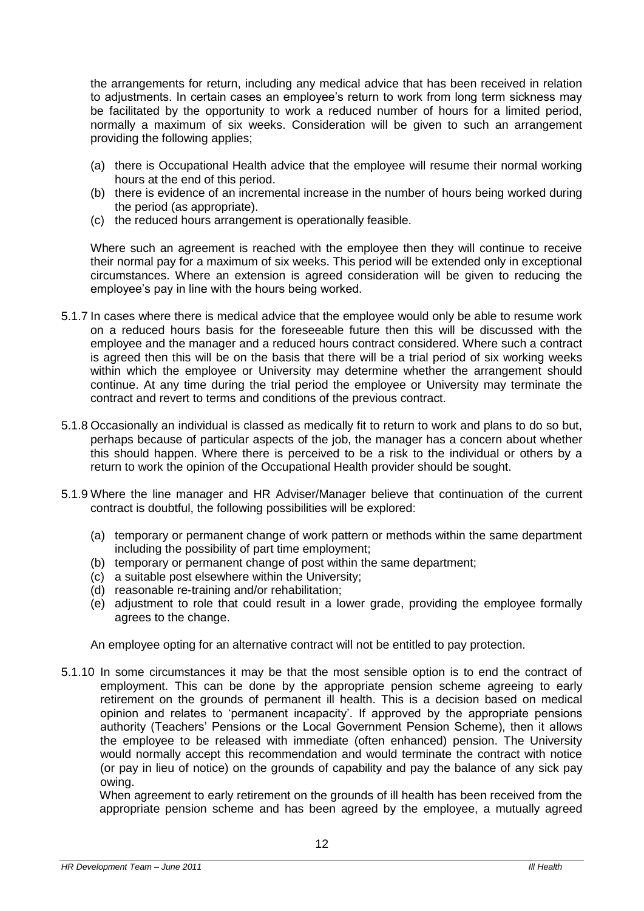the arrangements for return, including any medical advice that has been received in relation to adjustments. In certain cases an employee's return to work from long term sickness may be facilitated by the opportunity to work a reduced number of hours for a limited period, normally a maximum of six weeks. Consideration will be given to such an arrangement providing the following applies;

- (a) there is Occupational Health advice that the employee will resume their normal working hours at the end of this period.
- (b) there is evidence of an incremental increase in the number of hours being worked during the period (as appropriate).
- (c) the reduced hours arrangement is operationally feasible.

Where such an agreement is reached with the employee then they will continue to receive their normal pay for a maximum of six weeks. This period will be extended only in exceptional circumstances. Where an extension is agreed consideration will be given to reducing the employee's pay in line with the hours being worked.

- 5.1.7 In cases where there is medical advice that the employee would only be able to resume work on a reduced hours basis for the foreseeable future then this will be discussed with the employee and the manager and a reduced hours contract considered. Where such a contract is agreed then this will be on the basis that there will be a trial period of six working weeks within which the employee or University may determine whether the arrangement should continue. At any time during the trial period the employee or University may terminate the contract and revert to terms and conditions of the previous contract.
- 5.1.8 Occasionally an individual is classed as medically fit to return to work and plans to do so but, perhaps because of particular aspects of the job, the manager has a concern about whether this should happen. Where there is perceived to be a risk to the individual or others by a return to work the opinion of the Occupational Health provider should be sought.
- 5.1.9 Where the line manager and HR Adviser/Manager believe that continuation of the current contract is doubtful, the following possibilities will be explored:
	- (a) temporary or permanent change of work pattern or methods within the same department including the possibility of part time employment;
	- (b) temporary or permanent change of post within the same department;
	- (c) a suitable post elsewhere within the University;
	- (d) reasonable re-training and/or rehabilitation;
	- (e) adjustment to role that could result in a lower grade, providing the employee formally agrees to the change.

An employee opting for an alternative contract will not be entitled to pay protection.

5.1.10 In some circumstances it may be that the most sensible option is to end the contract of employment. This can be done by the appropriate pension scheme agreeing to early retirement on the grounds of permanent ill health. This is a decision based on medical opinion and relates to 'permanent incapacity'. If approved by the appropriate pensions authority (Teachers' Pensions or the Local Government Pension Scheme), then it allows the employee to be released with immediate (often enhanced) pension. The University would normally accept this recommendation and would terminate the contract with notice (or pay in lieu of notice) on the grounds of capability and pay the balance of any sick pay owing.

When agreement to early retirement on the grounds of ill health has been received from the appropriate pension scheme and has been agreed by the employee, a mutually agreed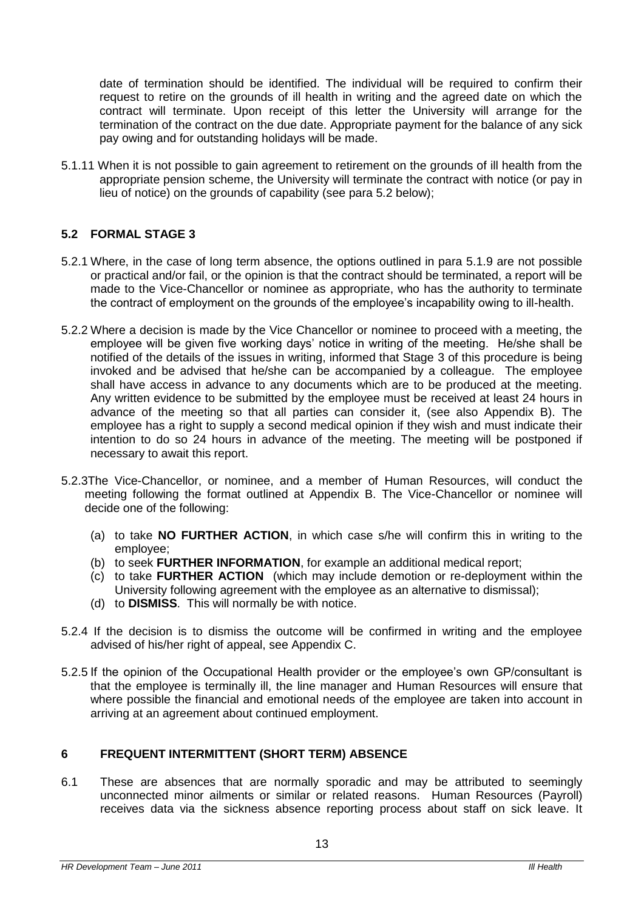date of termination should be identified. The individual will be required to confirm their request to retire on the grounds of ill health in writing and the agreed date on which the contract will terminate. Upon receipt of this letter the University will arrange for the termination of the contract on the due date. Appropriate payment for the balance of any sick pay owing and for outstanding holidays will be made.

5.1.11 When it is not possible to gain agreement to retirement on the grounds of ill health from the appropriate pension scheme, the University will terminate the contract with notice (or pay in lieu of notice) on the grounds of capability (see para 5.2 below);

# **5.2 FORMAL STAGE 3**

- 5.2.1 Where, in the case of long term absence, the options outlined in para 5.1.9 are not possible or practical and/or fail, or the opinion is that the contract should be terminated, a report will be made to the Vice-Chancellor or nominee as appropriate, who has the authority to terminate the contract of employment on the grounds of the employee's incapability owing to ill-health.
- 5.2.2 Where a decision is made by the Vice Chancellor or nominee to proceed with a meeting, the employee will be given five working days' notice in writing of the meeting. He/she shall be notified of the details of the issues in writing, informed that Stage 3 of this procedure is being invoked and be advised that he/she can be accompanied by a colleague. The employee shall have access in advance to any documents which are to be produced at the meeting. Any written evidence to be submitted by the employee must be received at least 24 hours in advance of the meeting so that all parties can consider it, (see also Appendix B). The employee has a right to supply a second medical opinion if they wish and must indicate their intention to do so 24 hours in advance of the meeting. The meeting will be postponed if necessary to await this report.
- 5.2.3The Vice-Chancellor, or nominee, and a member of Human Resources, will conduct the meeting following the format outlined at Appendix B. The Vice-Chancellor or nominee will decide one of the following:
	- (a) to take **NO FURTHER ACTION**, in which case s/he will confirm this in writing to the employee;
	- (b) to seek **FURTHER INFORMATION**, for example an additional medical report;
	- (c) to take **FURTHER ACTION** (which may include demotion or re-deployment within the University following agreement with the employee as an alternative to dismissal);
	- (d) to **DISMISS**. This will normally be with notice.
- 5.2.4 If the decision is to dismiss the outcome will be confirmed in writing and the employee advised of his/her right of appeal, see Appendix C.
- 5.2.5 If the opinion of the Occupational Health provider or the employee's own GP/consultant is that the employee is terminally ill, the line manager and Human Resources will ensure that where possible the financial and emotional needs of the employee are taken into account in arriving at an agreement about continued employment.

# **6 FREQUENT INTERMITTENT (SHORT TERM) ABSENCE**

6.1 These are absences that are normally sporadic and may be attributed to seemingly unconnected minor ailments or similar or related reasons. Human Resources (Payroll) receives data via the sickness absence reporting process about staff on sick leave. It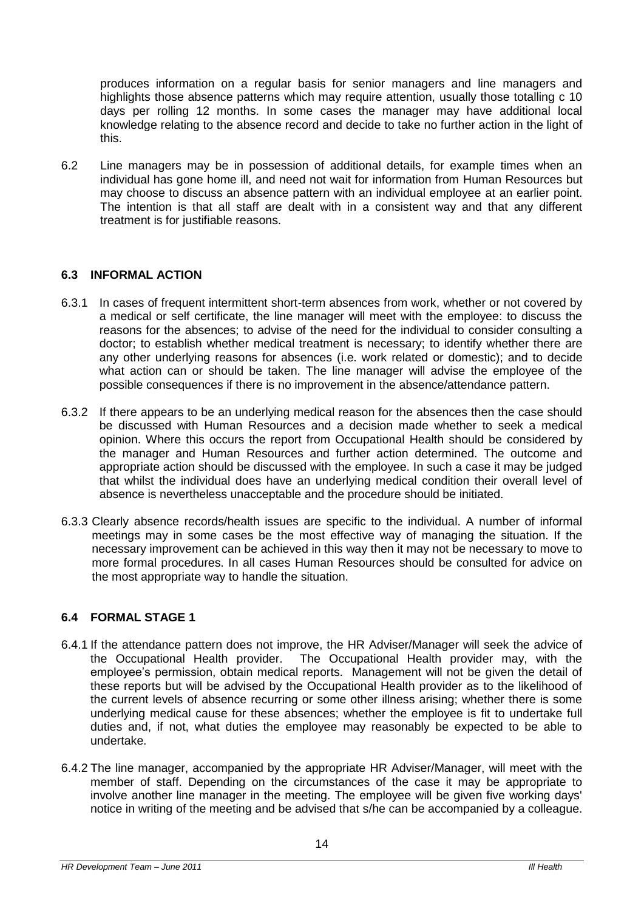produces information on a regular basis for senior managers and line managers and highlights those absence patterns which may require attention, usually those totalling c 10 days per rolling 12 months. In some cases the manager may have additional local knowledge relating to the absence record and decide to take no further action in the light of this.

6.2 Line managers may be in possession of additional details, for example times when an individual has gone home ill, and need not wait for information from Human Resources but may choose to discuss an absence pattern with an individual employee at an earlier point. The intention is that all staff are dealt with in a consistent way and that any different treatment is for justifiable reasons.

# **6.3 INFORMAL ACTION**

- 6.3.1 In cases of frequent intermittent short-term absences from work, whether or not covered by a medical or self certificate, the line manager will meet with the employee: to discuss the reasons for the absences; to advise of the need for the individual to consider consulting a doctor; to establish whether medical treatment is necessary; to identify whether there are any other underlying reasons for absences (i.e. work related or domestic); and to decide what action can or should be taken. The line manager will advise the employee of the possible consequences if there is no improvement in the absence/attendance pattern.
- 6.3.2 If there appears to be an underlying medical reason for the absences then the case should be discussed with Human Resources and a decision made whether to seek a medical opinion. Where this occurs the report from Occupational Health should be considered by the manager and Human Resources and further action determined. The outcome and appropriate action should be discussed with the employee. In such a case it may be judged that whilst the individual does have an underlying medical condition their overall level of absence is nevertheless unacceptable and the procedure should be initiated.
- 6.3.3 Clearly absence records/health issues are specific to the individual. A number of informal meetings may in some cases be the most effective way of managing the situation. If the necessary improvement can be achieved in this way then it may not be necessary to move to more formal procedures. In all cases Human Resources should be consulted for advice on the most appropriate way to handle the situation.

# **6.4 FORMAL STAGE 1**

- 6.4.1 If the attendance pattern does not improve, the HR Adviser/Manager will seek the advice of the Occupational Health provider. The Occupational Health provider may, with the employee's permission, obtain medical reports. Management will not be given the detail of these reports but will be advised by the Occupational Health provider as to the likelihood of the current levels of absence recurring or some other illness arising; whether there is some underlying medical cause for these absences; whether the employee is fit to undertake full duties and, if not, what duties the employee may reasonably be expected to be able to undertake.
- 6.4.2 The line manager, accompanied by the appropriate HR Adviser/Manager, will meet with the member of staff. Depending on the circumstances of the case it may be appropriate to involve another line manager in the meeting. The employee will be given five working days' notice in writing of the meeting and be advised that s/he can be accompanied by a colleague.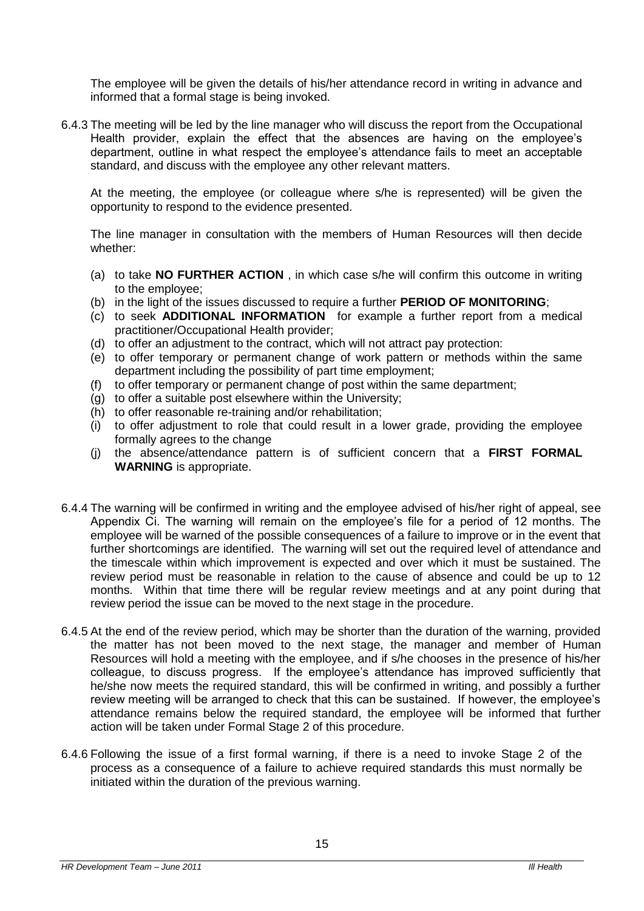The employee will be given the details of his/her attendance record in writing in advance and informed that a formal stage is being invoked.

6.4.3 The meeting will be led by the line manager who will discuss the report from the Occupational Health provider, explain the effect that the absences are having on the employee's department, outline in what respect the employee's attendance fails to meet an acceptable standard, and discuss with the employee any other relevant matters.

At the meeting, the employee (or colleague where s/he is represented) will be given the opportunity to respond to the evidence presented.

The line manager in consultation with the members of Human Resources will then decide whether:

- (a) to take **NO FURTHER ACTION** , in which case s/he will confirm this outcome in writing to the employee;
- (b) in the light of the issues discussed to require a further **PERIOD OF MONITORING**;
- (c) to seek **ADDITIONAL INFORMATION** for example a further report from a medical practitioner/Occupational Health provider;
- (d) to offer an adjustment to the contract, which will not attract pay protection:
- (e) to offer temporary or permanent change of work pattern or methods within the same department including the possibility of part time employment;
- (f) to offer temporary or permanent change of post within the same department;
- (g) to offer a suitable post elsewhere within the University;
- (h) to offer reasonable re-training and/or rehabilitation;
- (i) to offer adjustment to role that could result in a lower grade, providing the employee formally agrees to the change
- (j) the absence/attendance pattern is of sufficient concern that a **FIRST FORMAL WARNING** is appropriate.
- 6.4.4 The warning will be confirmed in writing and the employee advised of his/her right of appeal, see Appendix Ci. The warning will remain on the employee's file for a period of 12 months. The employee will be warned of the possible consequences of a failure to improve or in the event that further shortcomings are identified. The warning will set out the required level of attendance and the timescale within which improvement is expected and over which it must be sustained. The review period must be reasonable in relation to the cause of absence and could be up to 12 months. Within that time there will be regular review meetings and at any point during that review period the issue can be moved to the next stage in the procedure.
- 6.4.5 At the end of the review period, which may be shorter than the duration of the warning, provided the matter has not been moved to the next stage, the manager and member of Human Resources will hold a meeting with the employee, and if s/he chooses in the presence of his/her colleague, to discuss progress. If the employee's attendance has improved sufficiently that he/she now meets the required standard, this will be confirmed in writing, and possibly a further review meeting will be arranged to check that this can be sustained. If however, the employee's attendance remains below the required standard, the employee will be informed that further action will be taken under Formal Stage 2 of this procedure.
- 6.4.6 Following the issue of a first formal warning, if there is a need to invoke Stage 2 of the process as a consequence of a failure to achieve required standards this must normally be initiated within the duration of the previous warning.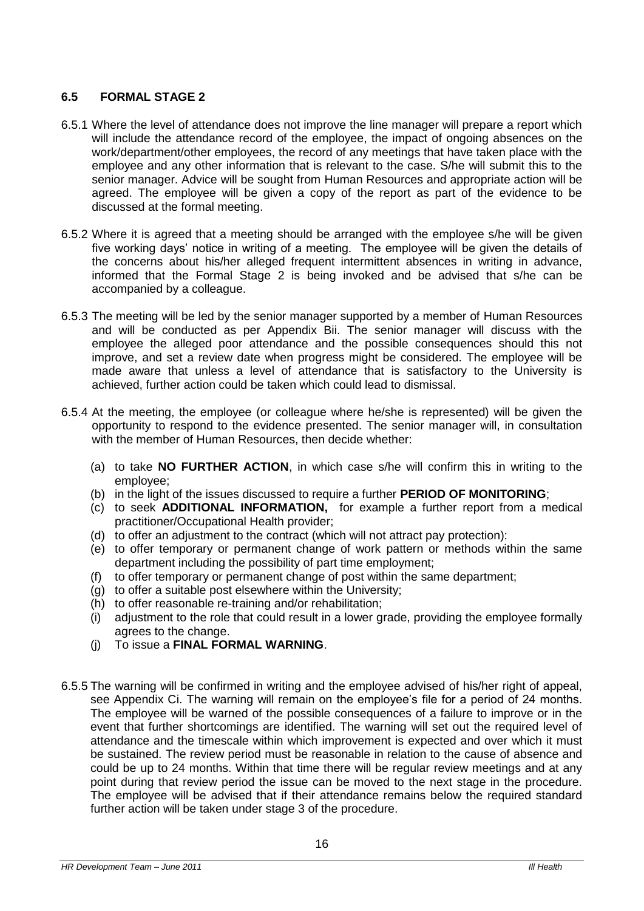# **6.5 FORMAL STAGE 2**

- 6.5.1 Where the level of attendance does not improve the line manager will prepare a report which will include the attendance record of the employee, the impact of ongoing absences on the work/department/other employees, the record of any meetings that have taken place with the employee and any other information that is relevant to the case. S/he will submit this to the senior manager. Advice will be sought from Human Resources and appropriate action will be agreed. The employee will be given a copy of the report as part of the evidence to be discussed at the formal meeting.
- 6.5.2 Where it is agreed that a meeting should be arranged with the employee s/he will be given five working days' notice in writing of a meeting. The employee will be given the details of the concerns about his/her alleged frequent intermittent absences in writing in advance, informed that the Formal Stage 2 is being invoked and be advised that s/he can be accompanied by a colleague.
- 6.5.3 The meeting will be led by the senior manager supported by a member of Human Resources and will be conducted as per Appendix Bii. The senior manager will discuss with the employee the alleged poor attendance and the possible consequences should this not improve, and set a review date when progress might be considered. The employee will be made aware that unless a level of attendance that is satisfactory to the University is achieved, further action could be taken which could lead to dismissal.
- 6.5.4 At the meeting, the employee (or colleague where he/she is represented) will be given the opportunity to respond to the evidence presented. The senior manager will, in consultation with the member of Human Resources, then decide whether:
	- (a) to take **NO FURTHER ACTION**, in which case s/he will confirm this in writing to the employee;
	- (b) in the light of the issues discussed to require a further **PERIOD OF MONITORING**;
	- (c) to seek **ADDITIONAL INFORMATION,** for example a further report from a medical practitioner/Occupational Health provider;
	- (d) to offer an adjustment to the contract (which will not attract pay protection):
	- (e) to offer temporary or permanent change of work pattern or methods within the same department including the possibility of part time employment;
	- (f) to offer temporary or permanent change of post within the same department;
	- (g) to offer a suitable post elsewhere within the University;
	- (h) to offer reasonable re-training and/or rehabilitation;
	- (i) adjustment to the role that could result in a lower grade, providing the employee formally agrees to the change.
	- (j) To issue a **FINAL FORMAL WARNING**.
- 6.5.5 The warning will be confirmed in writing and the employee advised of his/her right of appeal, see Appendix Ci. The warning will remain on the employee's file for a period of 24 months. The employee will be warned of the possible consequences of a failure to improve or in the event that further shortcomings are identified. The warning will set out the required level of attendance and the timescale within which improvement is expected and over which it must be sustained. The review period must be reasonable in relation to the cause of absence and could be up to 24 months. Within that time there will be regular review meetings and at any point during that review period the issue can be moved to the next stage in the procedure. The employee will be advised that if their attendance remains below the required standard further action will be taken under stage 3 of the procedure.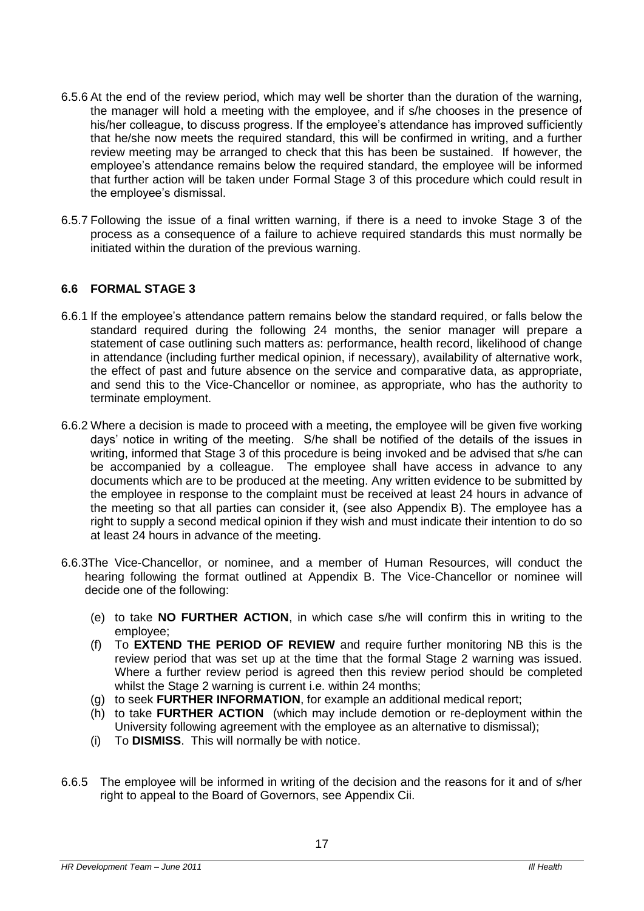- 6.5.6 At the end of the review period, which may well be shorter than the duration of the warning, the manager will hold a meeting with the employee, and if s/he chooses in the presence of his/her colleague, to discuss progress. If the employee's attendance has improved sufficiently that he/she now meets the required standard, this will be confirmed in writing, and a further review meeting may be arranged to check that this has been be sustained. If however, the employee's attendance remains below the required standard, the employee will be informed that further action will be taken under Formal Stage 3 of this procedure which could result in the employee's dismissal.
- 6.5.7 Following the issue of a final written warning, if there is a need to invoke Stage 3 of the process as a consequence of a failure to achieve required standards this must normally be initiated within the duration of the previous warning.

# **6.6 FORMAL STAGE 3**

- 6.6.1 If the employee's attendance pattern remains below the standard required, or falls below the standard required during the following 24 months, the senior manager will prepare a statement of case outlining such matters as: performance, health record, likelihood of change in attendance (including further medical opinion, if necessary), availability of alternative work, the effect of past and future absence on the service and comparative data, as appropriate, and send this to the Vice-Chancellor or nominee, as appropriate, who has the authority to terminate employment.
- 6.6.2 Where a decision is made to proceed with a meeting, the employee will be given five working days' notice in writing of the meeting. S/he shall be notified of the details of the issues in writing, informed that Stage 3 of this procedure is being invoked and be advised that s/he can be accompanied by a colleague. The employee shall have access in advance to any documents which are to be produced at the meeting. Any written evidence to be submitted by the employee in response to the complaint must be received at least 24 hours in advance of the meeting so that all parties can consider it, (see also Appendix B). The employee has a right to supply a second medical opinion if they wish and must indicate their intention to do so at least 24 hours in advance of the meeting.
- 6.6.3The Vice-Chancellor, or nominee, and a member of Human Resources, will conduct the hearing following the format outlined at Appendix B. The Vice-Chancellor or nominee will decide one of the following:
	- (e) to take **NO FURTHER ACTION**, in which case s/he will confirm this in writing to the employee;
	- (f) To **EXTEND THE PERIOD OF REVIEW** and require further monitoring NB this is the review period that was set up at the time that the formal Stage 2 warning was issued. Where a further review period is agreed then this review period should be completed whilst the Stage 2 warning is current i.e. within 24 months;
	- (g) to seek **FURTHER INFORMATION**, for example an additional medical report;
	- (h) to take **FURTHER ACTION** (which may include demotion or re-deployment within the University following agreement with the employee as an alternative to dismissal);
	- (i) To **DISMISS**. This will normally be with notice.
- 6.6.5 The employee will be informed in writing of the decision and the reasons for it and of s/her right to appeal to the Board of Governors, see Appendix Cii.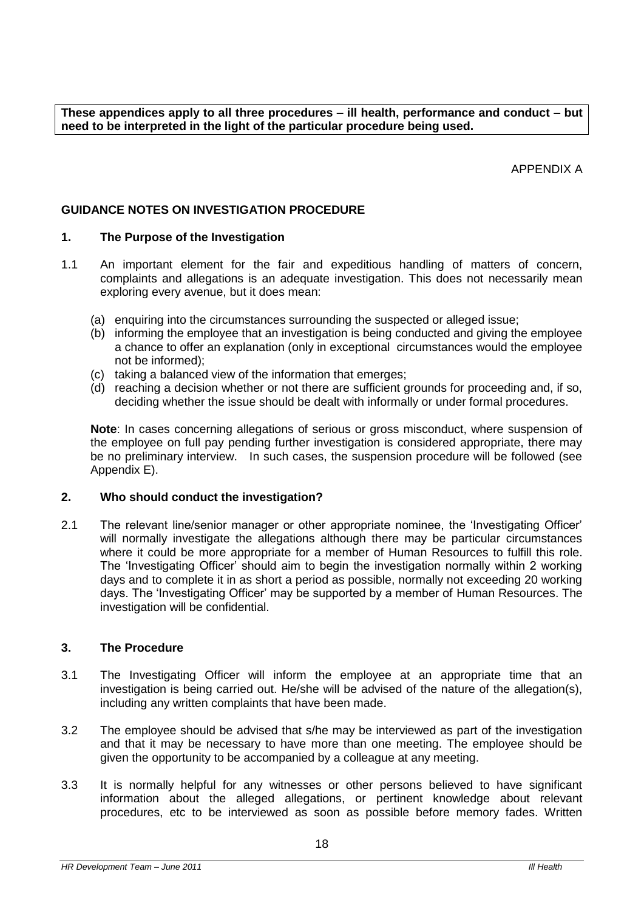**These appendices apply to all three procedures – ill health, performance and conduct – but need to be interpreted in the light of the particular procedure being used.**

APPENDIX A

# **GUIDANCE NOTES ON INVESTIGATION PROCEDURE**

#### **1. The Purpose of the Investigation**

- 1.1 An important element for the fair and expeditious handling of matters of concern, complaints and allegations is an adequate investigation. This does not necessarily mean exploring every avenue, but it does mean:
	- (a) enquiring into the circumstances surrounding the suspected or alleged issue;
	- (b) informing the employee that an investigation is being conducted and giving the employee a chance to offer an explanation (only in exceptional circumstances would the employee not be informed);
	- (c) taking a balanced view of the information that emerges;
	- $\overrightarrow{a}$  reaching a decision whether or not there are sufficient grounds for proceeding and, if so, deciding whether the issue should be dealt with informally or under formal procedures.

**Note**: In cases concerning allegations of serious or gross misconduct, where suspension of the employee on full pay pending further investigation is considered appropriate, there may be no preliminary interview. In such cases, the suspension procedure will be followed (see Appendix E).

#### **2. Who should conduct the investigation?**

2.1 The relevant line/senior manager or other appropriate nominee, the 'Investigating Officer' will normally investigate the allegations although there may be particular circumstances where it could be more appropriate for a member of Human Resources to fulfill this role. The 'Investigating Officer' should aim to begin the investigation normally within 2 working days and to complete it in as short a period as possible, normally not exceeding 20 working days. The 'Investigating Officer' may be supported by a member of Human Resources. The investigation will be confidential.

#### **3. The Procedure**

- 3.1 The Investigating Officer will inform the employee at an appropriate time that an investigation is being carried out. He/she will be advised of the nature of the allegation(s), including any written complaints that have been made.
- 3.2 The employee should be advised that s/he may be interviewed as part of the investigation and that it may be necessary to have more than one meeting. The employee should be given the opportunity to be accompanied by a colleague at any meeting.
- 3.3 It is normally helpful for any witnesses or other persons believed to have significant information about the alleged allegations, or pertinent knowledge about relevant procedures, etc to be interviewed as soon as possible before memory fades. Written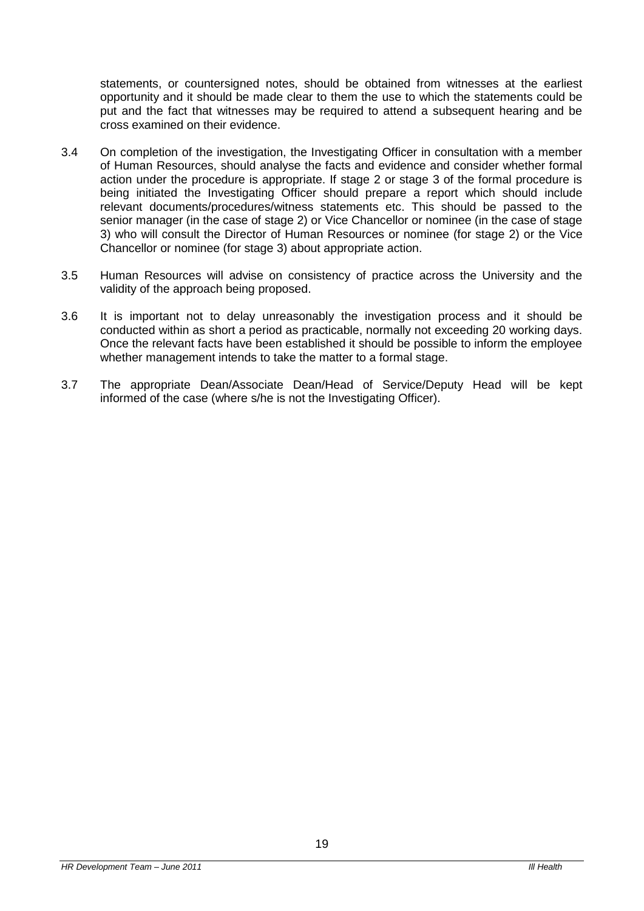statements, or countersigned notes, should be obtained from witnesses at the earliest opportunity and it should be made clear to them the use to which the statements could be put and the fact that witnesses may be required to attend a subsequent hearing and be cross examined on their evidence.

- 3.4 On completion of the investigation, the Investigating Officer in consultation with a member of Human Resources, should analyse the facts and evidence and consider whether formal action under the procedure is appropriate. If stage 2 or stage 3 of the formal procedure is being initiated the Investigating Officer should prepare a report which should include relevant documents/procedures/witness statements etc. This should be passed to the senior manager (in the case of stage 2) or Vice Chancellor or nominee (in the case of stage 3) who will consult the Director of Human Resources or nominee (for stage 2) or the Vice Chancellor or nominee (for stage 3) about appropriate action.
- 3.5 Human Resources will advise on consistency of practice across the University and the validity of the approach being proposed.
- 3.6 It is important not to delay unreasonably the investigation process and it should be conducted within as short a period as practicable, normally not exceeding 20 working days. Once the relevant facts have been established it should be possible to inform the employee whether management intends to take the matter to a formal stage.
- 3.7 The appropriate Dean/Associate Dean/Head of Service/Deputy Head will be kept informed of the case (where s/he is not the Investigating Officer).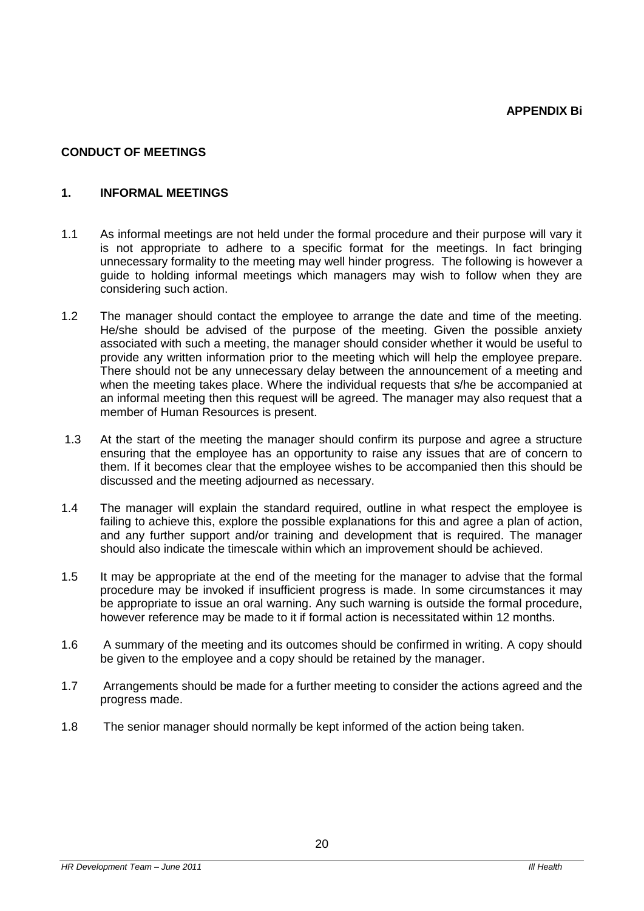#### **CONDUCT OF MEETINGS**

#### **1. INFORMAL MEETINGS**

- 1.1 As informal meetings are not held under the formal procedure and their purpose will vary it is not appropriate to adhere to a specific format for the meetings. In fact bringing unnecessary formality to the meeting may well hinder progress. The following is however a guide to holding informal meetings which managers may wish to follow when they are considering such action.
- 1.2 The manager should contact the employee to arrange the date and time of the meeting. He/she should be advised of the purpose of the meeting. Given the possible anxiety associated with such a meeting, the manager should consider whether it would be useful to provide any written information prior to the meeting which will help the employee prepare. There should not be any unnecessary delay between the announcement of a meeting and when the meeting takes place. Where the individual requests that s/he be accompanied at an informal meeting then this request will be agreed. The manager may also request that a member of Human Resources is present.
- 1.3 At the start of the meeting the manager should confirm its purpose and agree a structure ensuring that the employee has an opportunity to raise any issues that are of concern to them. If it becomes clear that the employee wishes to be accompanied then this should be discussed and the meeting adjourned as necessary.
- 1.4 The manager will explain the standard required, outline in what respect the employee is failing to achieve this, explore the possible explanations for this and agree a plan of action, and any further support and/or training and development that is required. The manager should also indicate the timescale within which an improvement should be achieved.
- 1.5 It may be appropriate at the end of the meeting for the manager to advise that the formal procedure may be invoked if insufficient progress is made. In some circumstances it may be appropriate to issue an oral warning. Any such warning is outside the formal procedure, however reference may be made to it if formal action is necessitated within 12 months.
- 1.6 A summary of the meeting and its outcomes should be confirmed in writing. A copy should be given to the employee and a copy should be retained by the manager.
- 1.7 Arrangements should be made for a further meeting to consider the actions agreed and the progress made.
- 1.8 The senior manager should normally be kept informed of the action being taken.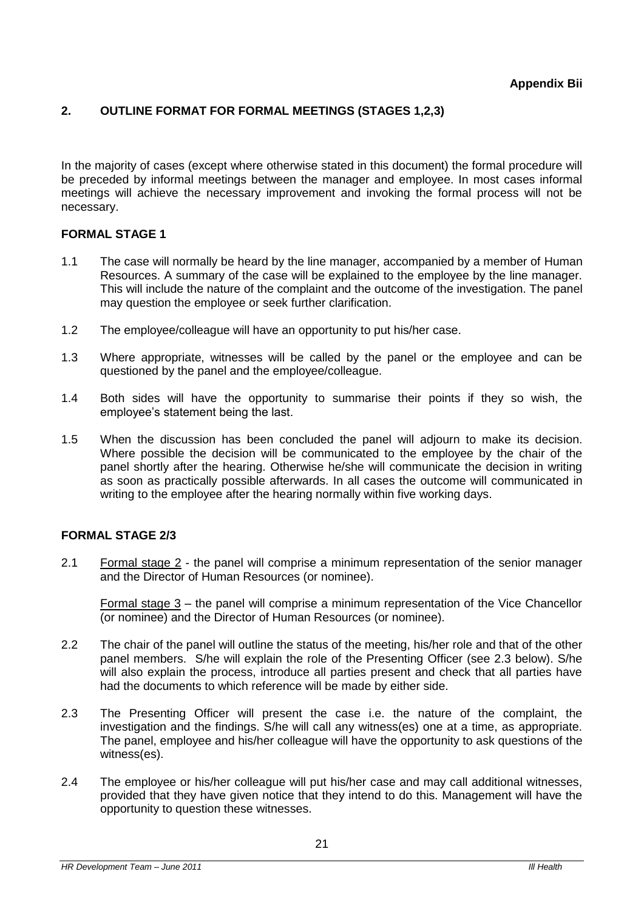# **2. OUTLINE FORMAT FOR FORMAL MEETINGS (STAGES 1,2,3)**

In the majority of cases (except where otherwise stated in this document) the formal procedure will be preceded by informal meetings between the manager and employee. In most cases informal meetings will achieve the necessary improvement and invoking the formal process will not be necessary.

# **FORMAL STAGE 1**

- 1.1 The case will normally be heard by the line manager, accompanied by a member of Human Resources. A summary of the case will be explained to the employee by the line manager. This will include the nature of the complaint and the outcome of the investigation. The panel may question the employee or seek further clarification.
- 1.2 The employee/colleague will have an opportunity to put his/her case.
- 1.3 Where appropriate, witnesses will be called by the panel or the employee and can be questioned by the panel and the employee/colleague.
- 1.4 Both sides will have the opportunity to summarise their points if they so wish, the employee's statement being the last.
- 1.5 When the discussion has been concluded the panel will adjourn to make its decision. Where possible the decision will be communicated to the employee by the chair of the panel shortly after the hearing. Otherwise he/she will communicate the decision in writing as soon as practically possible afterwards. In all cases the outcome will communicated in writing to the employee after the hearing normally within five working days.

# **FORMAL STAGE 2/3**

2.1 Formal stage 2 - the panel will comprise a minimum representation of the senior manager and the Director of Human Resources (or nominee).

Formal stage 3 – the panel will comprise a minimum representation of the Vice Chancellor (or nominee) and the Director of Human Resources (or nominee).

- 2.2 The chair of the panel will outline the status of the meeting, his/her role and that of the other panel members. S/he will explain the role of the Presenting Officer (see 2.3 below). S/he will also explain the process, introduce all parties present and check that all parties have had the documents to which reference will be made by either side.
- 2.3 The Presenting Officer will present the case i.e. the nature of the complaint, the investigation and the findings. S/he will call any witness(es) one at a time, as appropriate. The panel, employee and his/her colleague will have the opportunity to ask questions of the witness(es).
- 2.4 The employee or his/her colleague will put his/her case and may call additional witnesses, provided that they have given notice that they intend to do this. Management will have the opportunity to question these witnesses.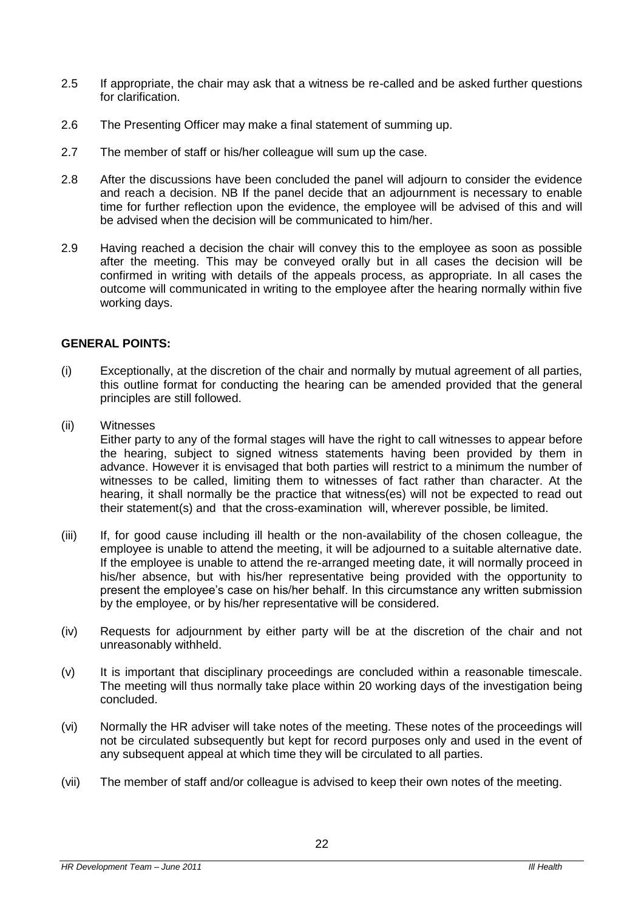- 2.5 If appropriate, the chair may ask that a witness be re-called and be asked further questions for clarification.
- 2.6 The Presenting Officer may make a final statement of summing up.
- 2.7 The member of staff or his/her colleague will sum up the case.
- 2.8 After the discussions have been concluded the panel will adjourn to consider the evidence and reach a decision. NB If the panel decide that an adjournment is necessary to enable time for further reflection upon the evidence, the employee will be advised of this and will be advised when the decision will be communicated to him/her.
- 2.9 Having reached a decision the chair will convey this to the employee as soon as possible after the meeting. This may be conveyed orally but in all cases the decision will be confirmed in writing with details of the appeals process, as appropriate. In all cases the outcome will communicated in writing to the employee after the hearing normally within five working days.

#### **GENERAL POINTS:**

- (i) Exceptionally, at the discretion of the chair and normally by mutual agreement of all parties, this outline format for conducting the hearing can be amended provided that the general principles are still followed.
- (ii) Witnesses

Either party to any of the formal stages will have the right to call witnesses to appear before the hearing, subject to signed witness statements having been provided by them in advance. However it is envisaged that both parties will restrict to a minimum the number of witnesses to be called, limiting them to witnesses of fact rather than character. At the hearing, it shall normally be the practice that witness(es) will not be expected to read out their statement(s) and that the cross-examination will, wherever possible, be limited.

- (iii) If, for good cause including ill health or the non-availability of the chosen colleague, the employee is unable to attend the meeting, it will be adjourned to a suitable alternative date. If the employee is unable to attend the re-arranged meeting date, it will normally proceed in his/her absence, but with his/her representative being provided with the opportunity to present the employee's case on his/her behalf. In this circumstance any written submission by the employee, or by his/her representative will be considered.
- (iv) Requests for adjournment by either party will be at the discretion of the chair and not unreasonably withheld.
- (v) It is important that disciplinary proceedings are concluded within a reasonable timescale. The meeting will thus normally take place within 20 working days of the investigation being concluded.
- (vi) Normally the HR adviser will take notes of the meeting. These notes of the proceedings will not be circulated subsequently but kept for record purposes only and used in the event of any subsequent appeal at which time they will be circulated to all parties.
- (vii) The member of staff and/or colleague is advised to keep their own notes of the meeting.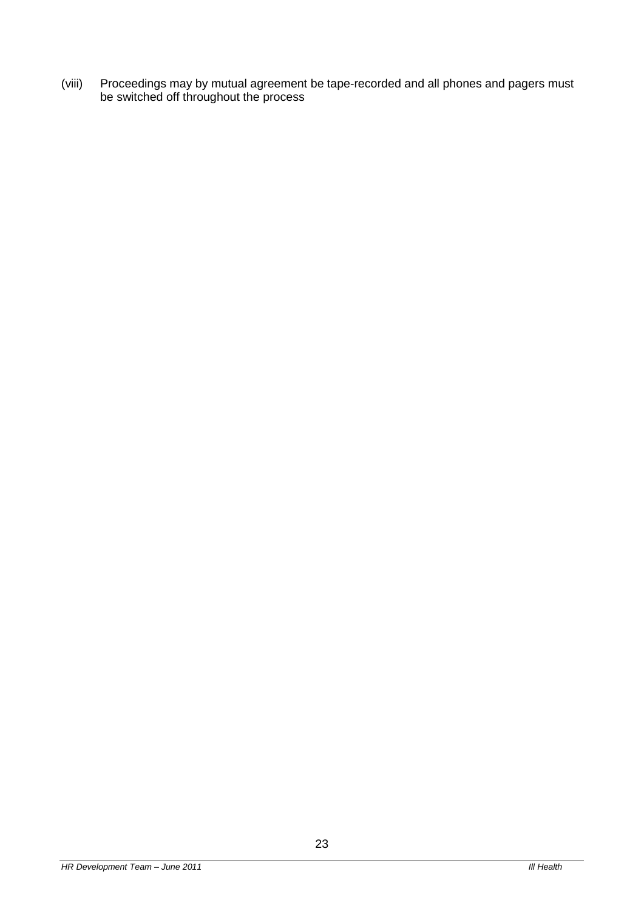(viii) Proceedings may by mutual agreement be tape-recorded and all phones and pagers must be switched off throughout the process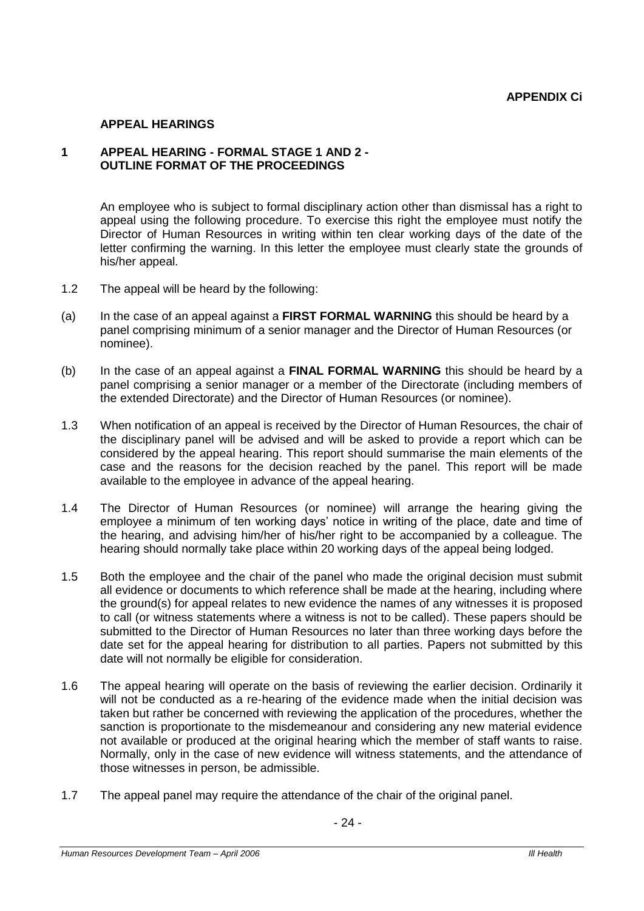#### **APPEAL HEARINGS**

# **1 APPEAL HEARING - FORMAL STAGE 1 AND 2 - OUTLINE FORMAT OF THE PROCEEDINGS**

An employee who is subject to formal disciplinary action other than dismissal has a right to appeal using the following procedure. To exercise this right the employee must notify the Director of Human Resources in writing within ten clear working days of the date of the letter confirming the warning. In this letter the employee must clearly state the grounds of his/her appeal.

- 1.2 The appeal will be heard by the following:
- (a) In the case of an appeal against a **FIRST FORMAL WARNING** this should be heard by a panel comprising minimum of a senior manager and the Director of Human Resources (or nominee).
- (b) In the case of an appeal against a **FINAL FORMAL WARNING** this should be heard by a panel comprising a senior manager or a member of the Directorate (including members of the extended Directorate) and the Director of Human Resources (or nominee).
- 1.3 When notification of an appeal is received by the Director of Human Resources, the chair of the disciplinary panel will be advised and will be asked to provide a report which can be considered by the appeal hearing. This report should summarise the main elements of the case and the reasons for the decision reached by the panel. This report will be made available to the employee in advance of the appeal hearing.
- 1.4 The Director of Human Resources (or nominee) will arrange the hearing giving the employee a minimum of ten working days' notice in writing of the place, date and time of the hearing, and advising him/her of his/her right to be accompanied by a colleague. The hearing should normally take place within 20 working days of the appeal being lodged.
- 1.5 Both the employee and the chair of the panel who made the original decision must submit all evidence or documents to which reference shall be made at the hearing, including where the ground(s) for appeal relates to new evidence the names of any witnesses it is proposed to call (or witness statements where a witness is not to be called). These papers should be submitted to the Director of Human Resources no later than three working days before the date set for the appeal hearing for distribution to all parties. Papers not submitted by this date will not normally be eligible for consideration.
- 1.6 The appeal hearing will operate on the basis of reviewing the earlier decision. Ordinarily it will not be conducted as a re-hearing of the evidence made when the initial decision was taken but rather be concerned with reviewing the application of the procedures, whether the sanction is proportionate to the misdemeanour and considering any new material evidence not available or produced at the original hearing which the member of staff wants to raise. Normally, only in the case of new evidence will witness statements, and the attendance of those witnesses in person, be admissible.
- 1.7 The appeal panel may require the attendance of the chair of the original panel.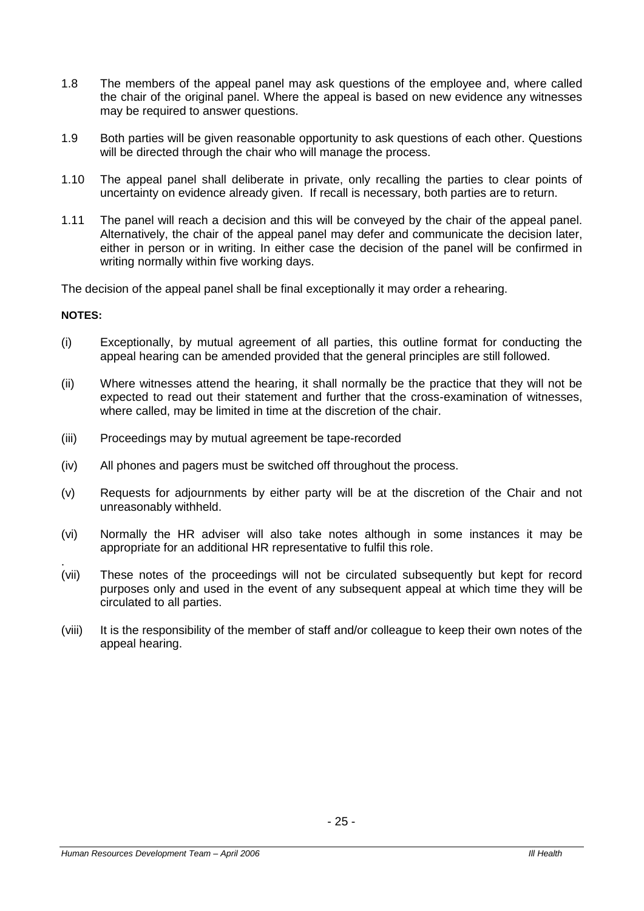- 1.8 The members of the appeal panel may ask questions of the employee and, where called the chair of the original panel. Where the appeal is based on new evidence any witnesses may be required to answer questions.
- 1.9 Both parties will be given reasonable opportunity to ask questions of each other. Questions will be directed through the chair who will manage the process.
- 1.10 The appeal panel shall deliberate in private, only recalling the parties to clear points of uncertainty on evidence already given. If recall is necessary, both parties are to return.
- 1.11 The panel will reach a decision and this will be conveyed by the chair of the appeal panel. Alternatively, the chair of the appeal panel may defer and communicate the decision later, either in person or in writing. In either case the decision of the panel will be confirmed in writing normally within five working days.

The decision of the appeal panel shall be final exceptionally it may order a rehearing.

#### **NOTES:**

- (i) Exceptionally, by mutual agreement of all parties, this outline format for conducting the appeal hearing can be amended provided that the general principles are still followed.
- (ii) Where witnesses attend the hearing, it shall normally be the practice that they will not be expected to read out their statement and further that the cross-examination of witnesses, where called, may be limited in time at the discretion of the chair.
- (iii) Proceedings may by mutual agreement be tape-recorded
- (iv) All phones and pagers must be switched off throughout the process.
- (v) Requests for adjournments by either party will be at the discretion of the Chair and not unreasonably withheld.
- (vi) Normally the HR adviser will also take notes although in some instances it may be appropriate for an additional HR representative to fulfil this role.
- . (vii) These notes of the proceedings will not be circulated subsequently but kept for record purposes only and used in the event of any subsequent appeal at which time they will be circulated to all parties.
- (viii) It is the responsibility of the member of staff and/or colleague to keep their own notes of the appeal hearing.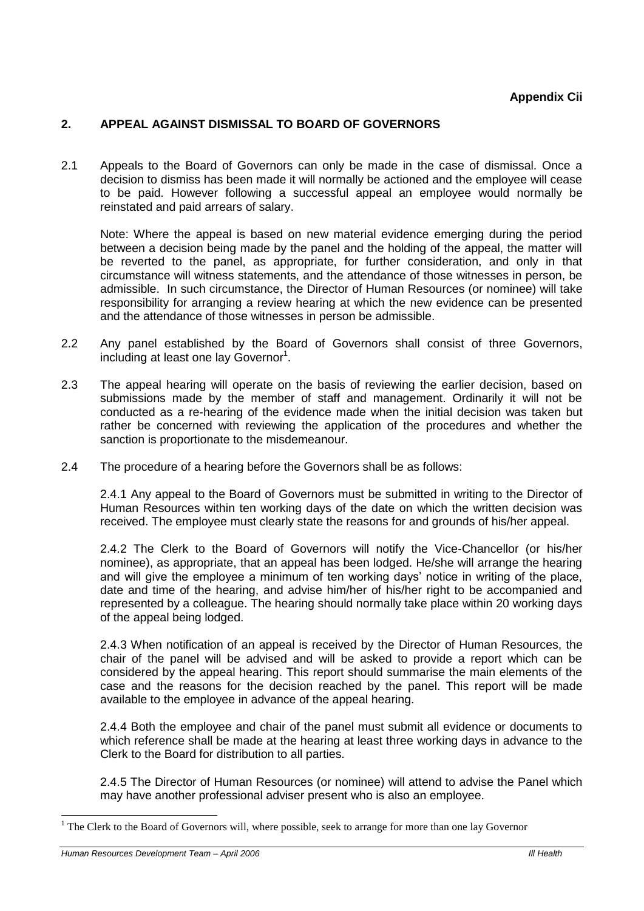# **2. APPEAL AGAINST DISMISSAL TO BOARD OF GOVERNORS**

2.1 Appeals to the Board of Governors can only be made in the case of dismissal. Once a decision to dismiss has been made it will normally be actioned and the employee will cease to be paid. However following a successful appeal an employee would normally be reinstated and paid arrears of salary.

Note: Where the appeal is based on new material evidence emerging during the period between a decision being made by the panel and the holding of the appeal, the matter will be reverted to the panel, as appropriate, for further consideration, and only in that circumstance will witness statements, and the attendance of those witnesses in person, be admissible. In such circumstance, the Director of Human Resources (or nominee) will take responsibility for arranging a review hearing at which the new evidence can be presented and the attendance of those witnesses in person be admissible.

- 2.2 Any panel established by the Board of Governors shall consist of three Governors, including at least one lay Governor<sup>1</sup>.
- 2.3 The appeal hearing will operate on the basis of reviewing the earlier decision, based on submissions made by the member of staff and management. Ordinarily it will not be conducted as a re-hearing of the evidence made when the initial decision was taken but rather be concerned with reviewing the application of the procedures and whether the sanction is proportionate to the misdemeanour.
- 2.4 The procedure of a hearing before the Governors shall be as follows:

2.4.1 Any appeal to the Board of Governors must be submitted in writing to the Director of Human Resources within ten working days of the date on which the written decision was received. The employee must clearly state the reasons for and grounds of his/her appeal.

2.4.2 The Clerk to the Board of Governors will notify the Vice-Chancellor (or his/her nominee), as appropriate, that an appeal has been lodged. He/she will arrange the hearing and will give the employee a minimum of ten working days' notice in writing of the place, date and time of the hearing, and advise him/her of his/her right to be accompanied and represented by a colleague. The hearing should normally take place within 20 working days of the appeal being lodged.

2.4.3 When notification of an appeal is received by the Director of Human Resources, the chair of the panel will be advised and will be asked to provide a report which can be considered by the appeal hearing. This report should summarise the main elements of the case and the reasons for the decision reached by the panel. This report will be made available to the employee in advance of the appeal hearing.

2.4.4 Both the employee and chair of the panel must submit all evidence or documents to which reference shall be made at the hearing at least three working days in advance to the Clerk to the Board for distribution to all parties.

2.4.5 The Director of Human Resources (or nominee) will attend to advise the Panel which may have another professional adviser present who is also an employee.

-

 $1$  The Clerk to the Board of Governors will, where possible, seek to arrange for more than one lay Governor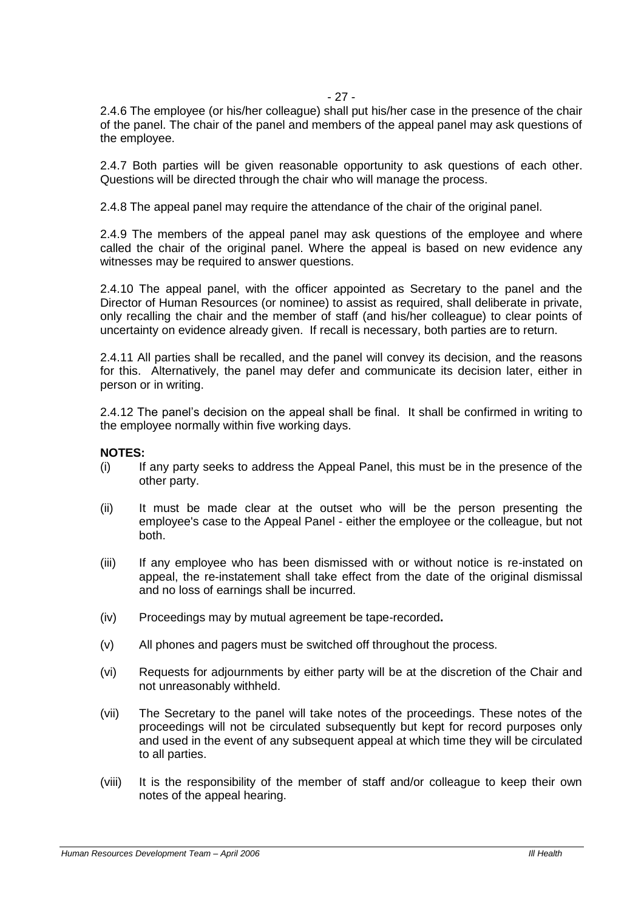# - 27 -

2.4.6 The employee (or his/her colleague) shall put his/her case in the presence of the chair of the panel. The chair of the panel and members of the appeal panel may ask questions of the employee.

2.4.7 Both parties will be given reasonable opportunity to ask questions of each other. Questions will be directed through the chair who will manage the process.

2.4.8 The appeal panel may require the attendance of the chair of the original panel.

2.4.9 The members of the appeal panel may ask questions of the employee and where called the chair of the original panel. Where the appeal is based on new evidence any witnesses may be required to answer questions.

2.4.10 The appeal panel, with the officer appointed as Secretary to the panel and the Director of Human Resources (or nominee) to assist as required, shall deliberate in private, only recalling the chair and the member of staff (and his/her colleague) to clear points of uncertainty on evidence already given. If recall is necessary, both parties are to return.

2.4.11 All parties shall be recalled, and the panel will convey its decision, and the reasons for this. Alternatively, the panel may defer and communicate its decision later, either in person or in writing.

2.4.12 The panel's decision on the appeal shall be final. It shall be confirmed in writing to the employee normally within five working days.

# **NOTES:**

- (i) If any party seeks to address the Appeal Panel, this must be in the presence of the other party.
- (ii) It must be made clear at the outset who will be the person presenting the employee's case to the Appeal Panel - either the employee or the colleague, but not both.
- (iii) If any employee who has been dismissed with or without notice is re-instated on appeal, the re-instatement shall take effect from the date of the original dismissal and no loss of earnings shall be incurred.
- (iv) Proceedings may by mutual agreement be tape-recorded**.**
- (v) All phones and pagers must be switched off throughout the process.
- (vi) Requests for adjournments by either party will be at the discretion of the Chair and not unreasonably withheld.
- (vii) The Secretary to the panel will take notes of the proceedings. These notes of the proceedings will not be circulated subsequently but kept for record purposes only and used in the event of any subsequent appeal at which time they will be circulated to all parties.
- (viii) It is the responsibility of the member of staff and/or colleague to keep their own notes of the appeal hearing.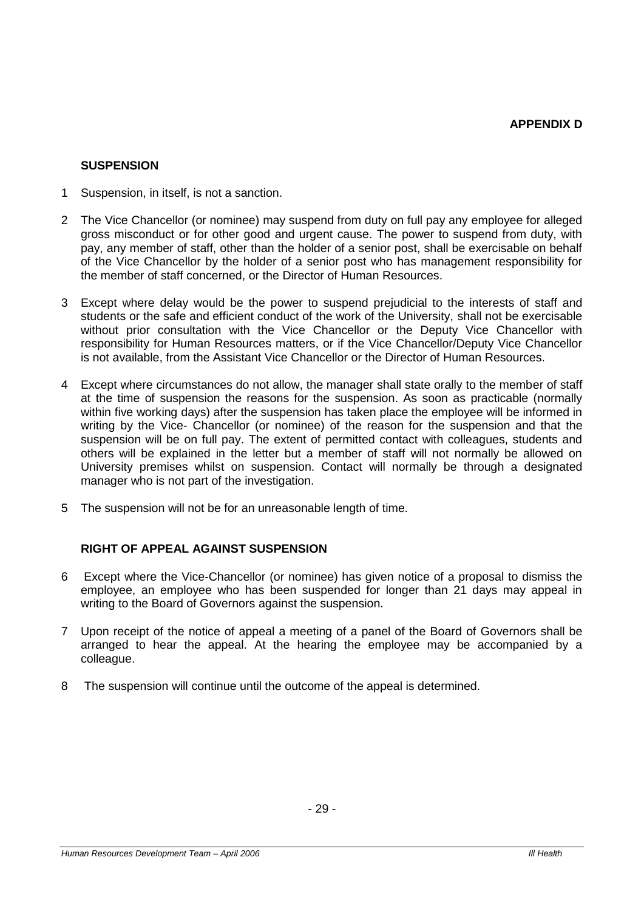# **SUSPENSION**

- 1 Suspension, in itself, is not a sanction.
- 2 The Vice Chancellor (or nominee) may suspend from duty on full pay any employee for alleged gross misconduct or for other good and urgent cause. The power to suspend from duty, with pay, any member of staff, other than the holder of a senior post, shall be exercisable on behalf of the Vice Chancellor by the holder of a senior post who has management responsibility for the member of staff concerned, or the Director of Human Resources.
- 3 Except where delay would be the power to suspend prejudicial to the interests of staff and students or the safe and efficient conduct of the work of the University, shall not be exercisable without prior consultation with the Vice Chancellor or the Deputy Vice Chancellor with responsibility for Human Resources matters, or if the Vice Chancellor/Deputy Vice Chancellor is not available, from the Assistant Vice Chancellor or the Director of Human Resources.
- 4 Except where circumstances do not allow, the manager shall state orally to the member of staff at the time of suspension the reasons for the suspension. As soon as practicable (normally within five working days) after the suspension has taken place the employee will be informed in writing by the Vice- Chancellor (or nominee) of the reason for the suspension and that the suspension will be on full pay. The extent of permitted contact with colleagues, students and others will be explained in the letter but a member of staff will not normally be allowed on University premises whilst on suspension. Contact will normally be through a designated manager who is not part of the investigation.
- 5 The suspension will not be for an unreasonable length of time.

# **RIGHT OF APPEAL AGAINST SUSPENSION**

- 6 Except where the Vice-Chancellor (or nominee) has given notice of a proposal to dismiss the employee, an employee who has been suspended for longer than 21 days may appeal in writing to the Board of Governors against the suspension.
- 7 Upon receipt of the notice of appeal a meeting of a panel of the Board of Governors shall be arranged to hear the appeal. At the hearing the employee may be accompanied by a colleague.
- 8 The suspension will continue until the outcome of the appeal is determined.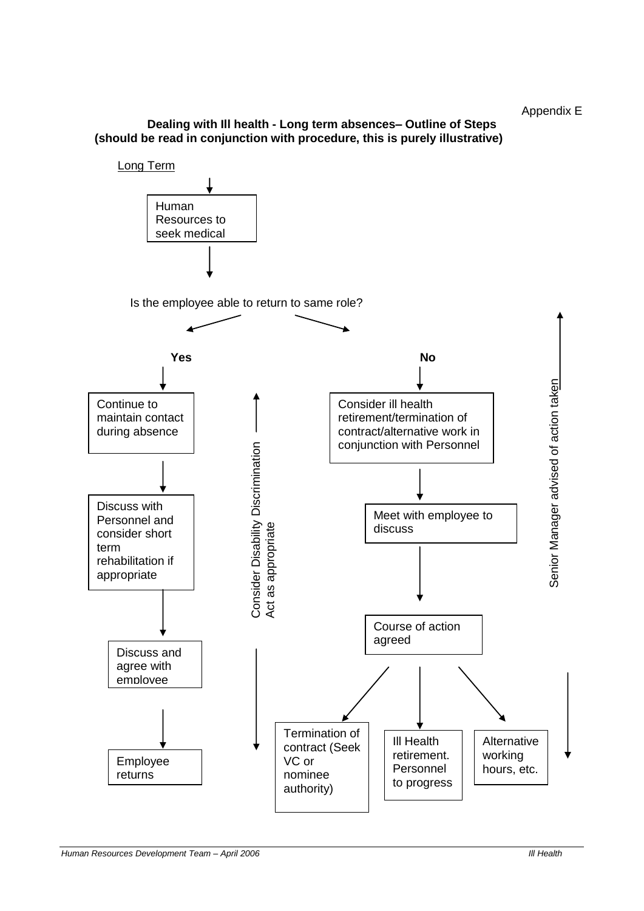Appendix E

# **Dealing with Ill health - Long term absences– Outline of Steps (should be read in conjunction with procedure, this is purely illustrative)**